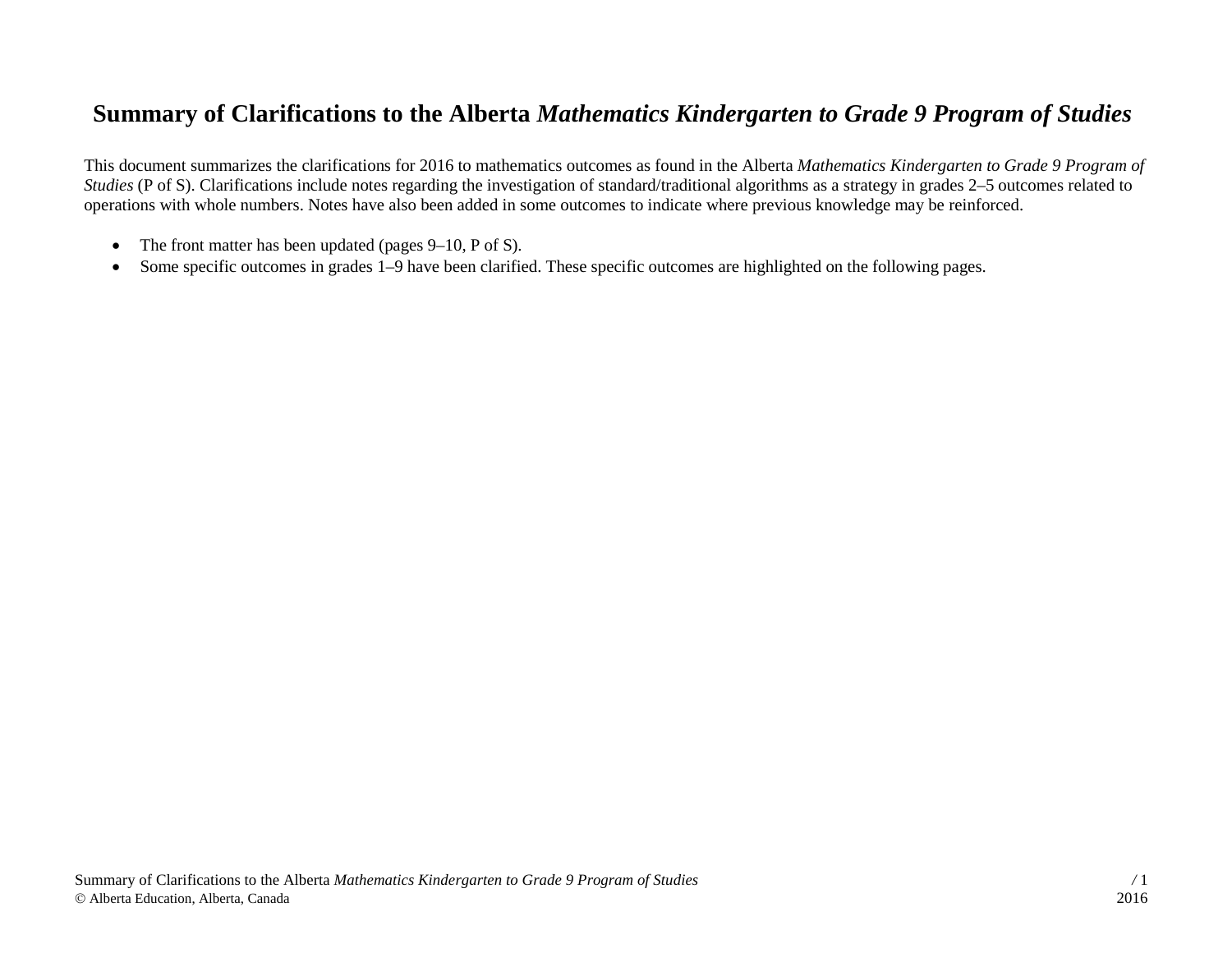## **Summary of Clarifications to the Alberta** *Mathematics Kindergarten to Grade 9 Program of Studies*

This document summarizes the clarifications for 2016 to mathematics outcomes as found in the Alberta *Mathematics Kindergarten to Grade 9 Program of Studies* (P of S). Clarifications include notes regarding the investigation of standard/traditional algorithms as a strategy in grades 2–5 outcomes related to operations with whole numbers. Notes have also been added in some outcomes to indicate where previous knowledge may be reinforced.

- The front matter has been updated (pages 9–10, P of S).
- Some specific outcomes in grades 1–9 have been clarified. These specific outcomes are highlighted on the following pages.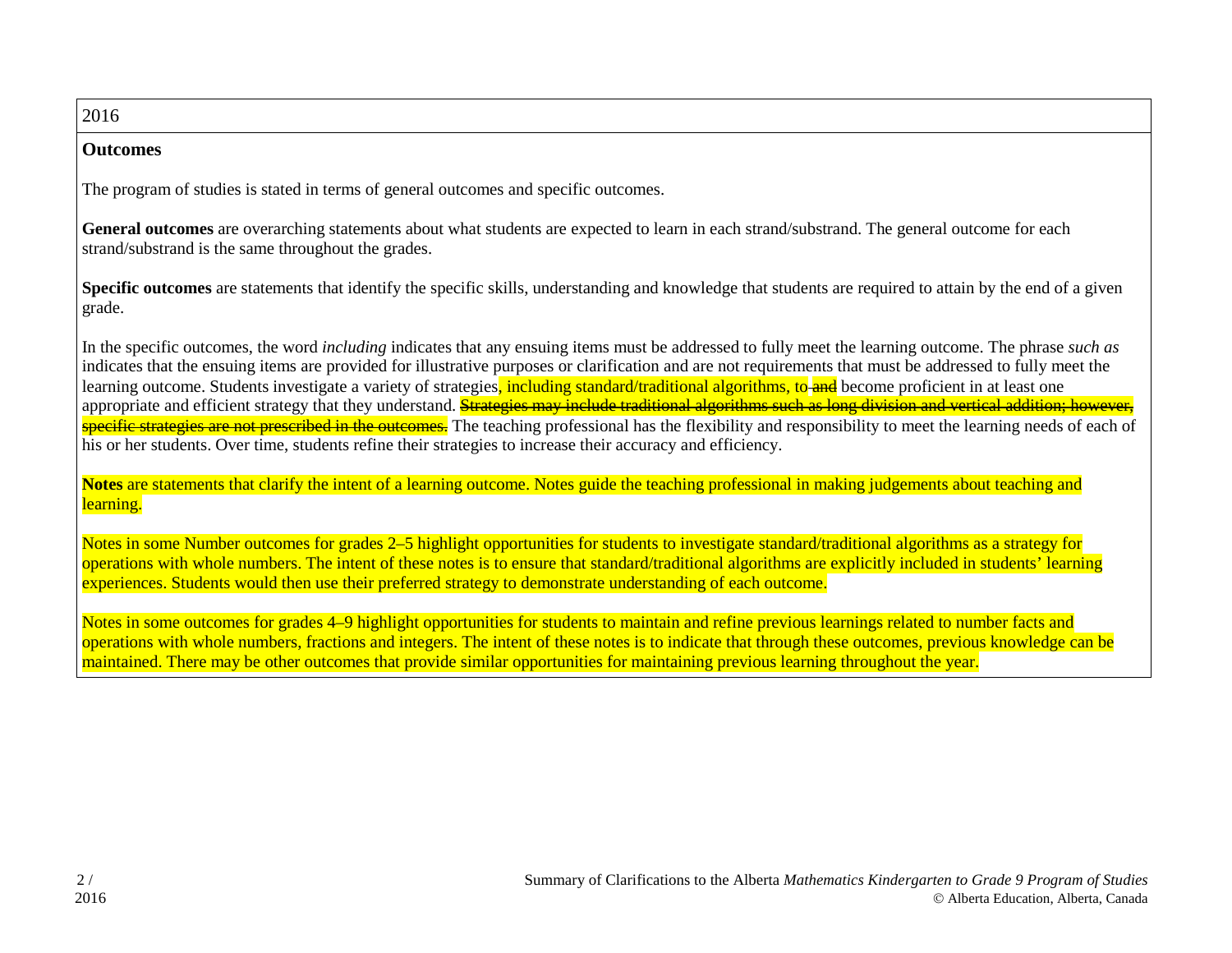## 2016

## **Outcomes**

The program of studies is stated in terms of general outcomes and specific outcomes.

**General outcomes** are overarching statements about what students are expected to learn in each strand/substrand. The general outcome for each strand/substrand is the same throughout the grades.

**Specific outcomes** are statements that identify the specific skills, understanding and knowledge that students are required to attain by the end of a given grade.

In the specific outcomes, the word *including* indicates that any ensuing items must be addressed to fully meet the learning outcome. The phrase *such as* indicates that the ensuing items are provided for illustrative purposes or clarification and are not requirements that must be addressed to fully meet the learning outcome. Students investigate a variety of strategies, including standard/traditional algorithms, to and become proficient in at least one appropriate and efficient strategy that they understand. **Strategies may include traditional algorithms such as long division and vertical addition: however,** specific strategies are not prescribed in the outcomes. The teaching professional has the flexibility and responsibility to meet the learning needs of each of his or her students. Over time, students refine their strategies to increase their accuracy and efficiency.

**Notes** are statements that clarify the intent of a learning outcome. Notes guide the teaching professional in making judgements about teaching and learning.

Notes in some Number outcomes for grades 2–5 highlight opportunities for students to investigate standard/traditional algorithms as a strategy for operations with whole numbers. The intent of these notes is to ensure that standard/traditional algorithms are explicitly included in students' learning experiences. Students would then use their preferred strategy to demonstrate understanding of each outcome.

Notes in some outcomes for grades 4–9 highlight opportunities for students to maintain and refine previous learnings related to number facts and operations with whole numbers, fractions and integers. The intent of these notes is to indicate that through these outcomes, previous knowledge can be maintained. There may be other outcomes that provide similar opportunities for maintaining previous learning throughout the year.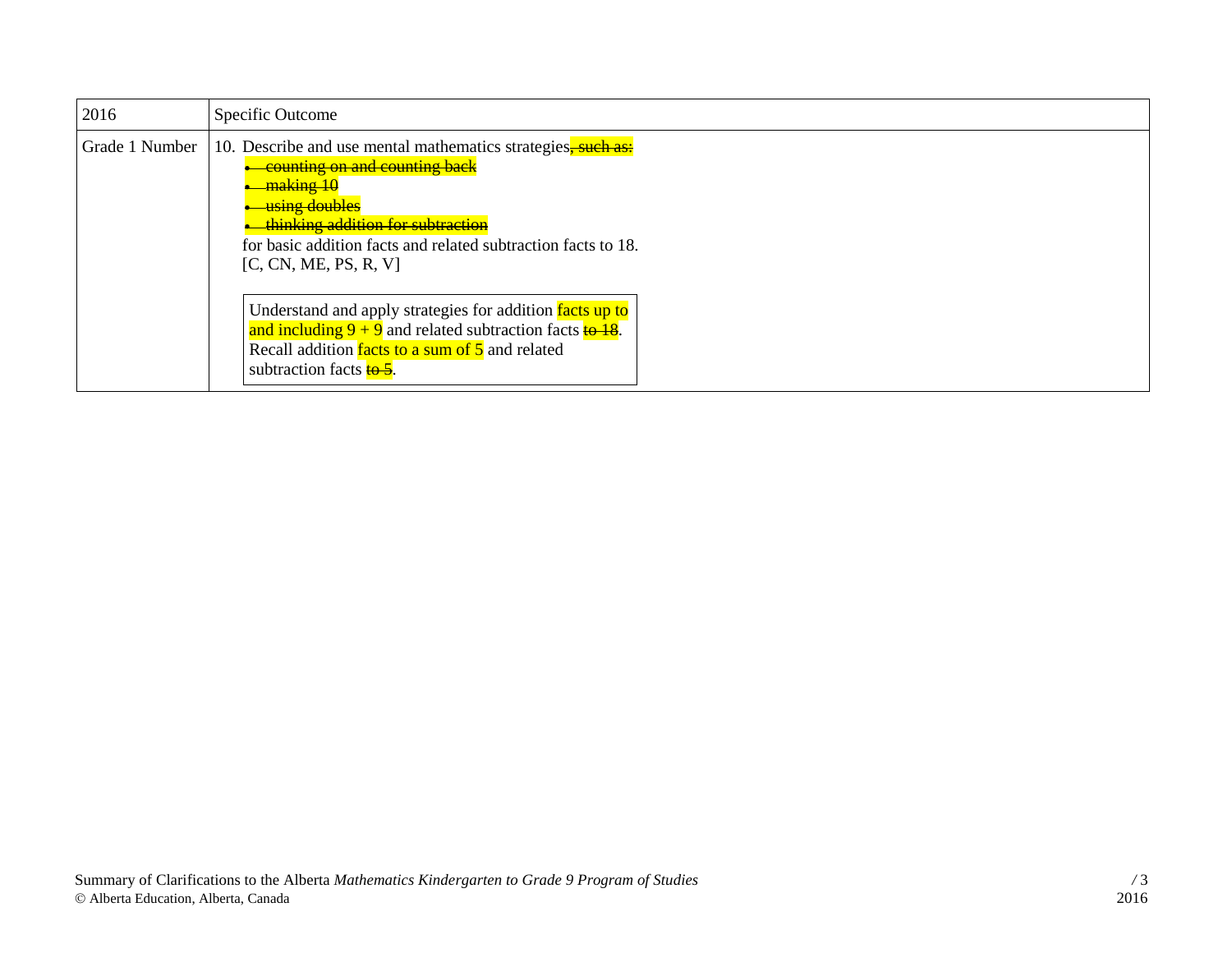| 2016           | Specific Outcome                                                                                                                                                                                                                                           |
|----------------|------------------------------------------------------------------------------------------------------------------------------------------------------------------------------------------------------------------------------------------------------------|
| Grade 1 Number | 10. Describe and use mental mathematics strategies, such as:<br>counting on and counting back<br>making 10<br>using doubles<br>thinking addition for subtraction<br>for basic addition facts and related subtraction facts to 18.<br>[C, CN, ME, PS, R, V] |
|                | Understand and apply strategies for addition facts up to<br>and including $9 + 9$ and related subtraction facts $\frac{18}{18}$ .<br>Recall addition facts to a sum of 5 and related<br>subtraction facts <b>to 5</b> .                                    |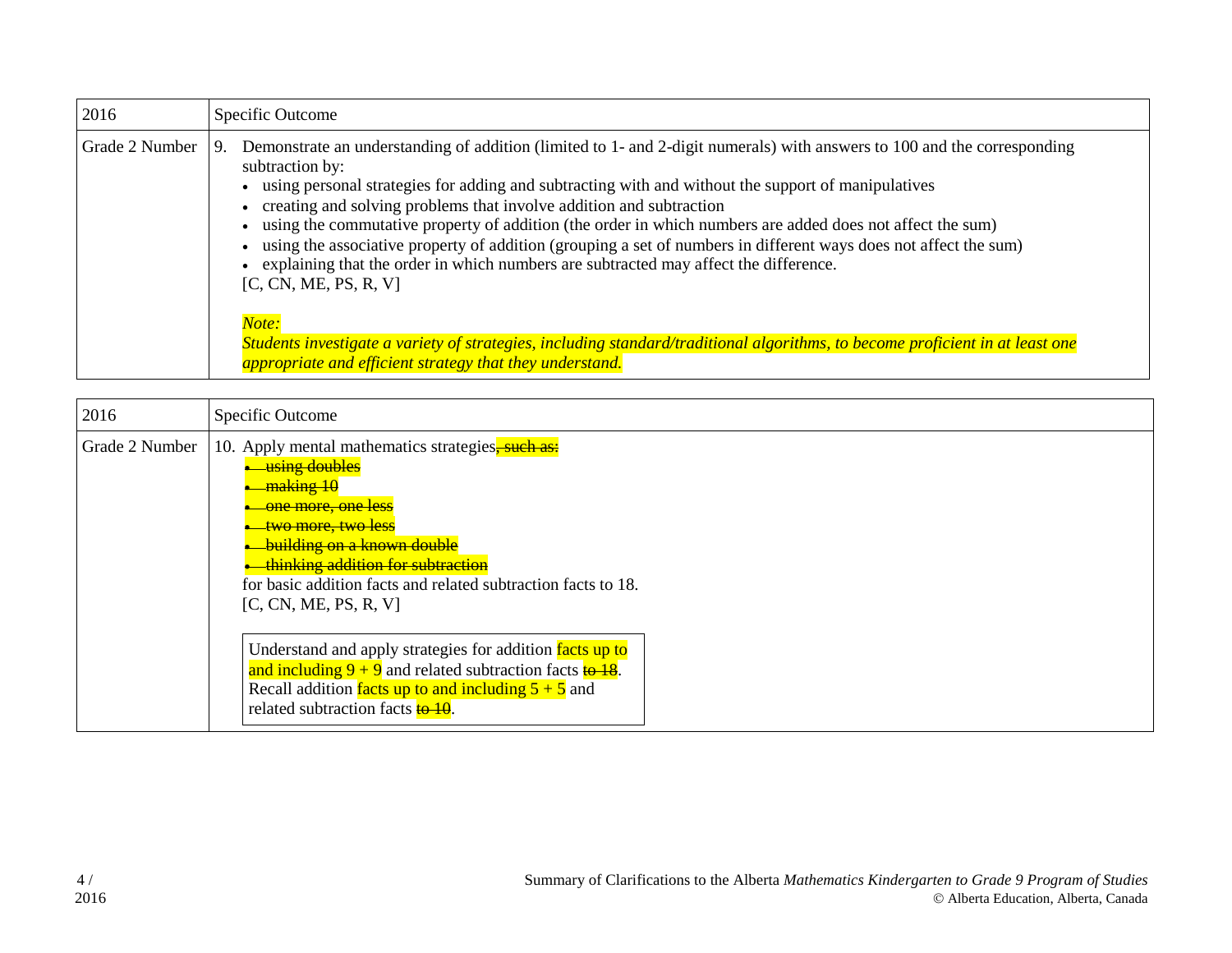| 2016           | Specific Outcome                                                                                                                                                                                                                                                                                                                                                                                                                                                                                                                                                                                                                                                                    |
|----------------|-------------------------------------------------------------------------------------------------------------------------------------------------------------------------------------------------------------------------------------------------------------------------------------------------------------------------------------------------------------------------------------------------------------------------------------------------------------------------------------------------------------------------------------------------------------------------------------------------------------------------------------------------------------------------------------|
| Grade 2 Number | Demonstrate an understanding of addition (limited to 1- and 2-digit numerals) with answers to 100 and the corresponding<br>9.<br>subtraction by:<br>• using personal strategies for adding and subtracting with and without the support of manipulatives<br>• creating and solving problems that involve addition and subtraction<br>using the commutative property of addition (the order in which numbers are added does not affect the sum)<br>using the associative property of addition (grouping a set of numbers in different ways does not affect the sum)<br>explaining that the order in which numbers are subtracted may affect the difference.<br>[C, CN, ME, PS, R, V] |
|                | Note:<br>Students investigate a variety of strategies, including standard/traditional algorithms, to become proficient in at least one<br>appropriate and efficient strategy that they understand.                                                                                                                                                                                                                                                                                                                                                                                                                                                                                  |

| 2016           | Specific Outcome                                                                                                                                                                                                                                                                                                      |
|----------------|-----------------------------------------------------------------------------------------------------------------------------------------------------------------------------------------------------------------------------------------------------------------------------------------------------------------------|
| Grade 2 Number | 10. Apply mental mathematics strategies, such as:<br>using doubles<br><del>making 10</del><br><del>one more, one less</del><br>two more, two less<br><b>building on a known double</b><br>thinking addition for subtraction<br>for basic addition facts and related subtraction facts to 18.<br>[C, CN, ME, PS, R, V] |
|                | Understand and apply strategies for addition facts up to<br>and including $9 + 9$ and related subtraction facts $\frac{10 - 18}{10}$ .<br>Recall addition facts up to and including $5 + 5$ and<br>related subtraction facts <b>to 10</b> .                                                                           |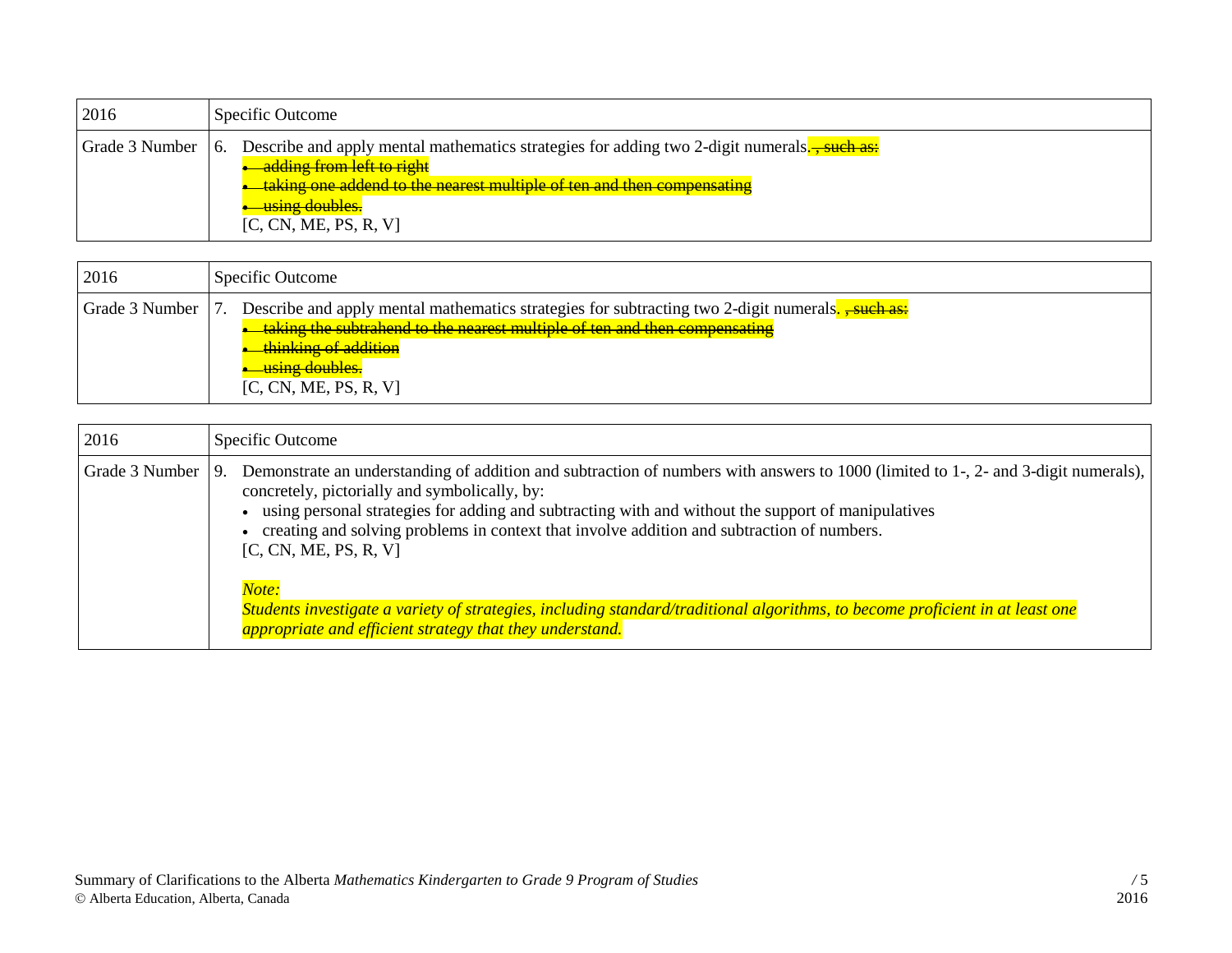| 2016 | Specific Outcome                                                                                                                                                                                                                                                 |
|------|------------------------------------------------------------------------------------------------------------------------------------------------------------------------------------------------------------------------------------------------------------------|
|      | Grade 3 Number 6. Describe and apply mental mathematics strategies for adding two 2-digit numerals.<br>adding from left to right<br><del>taking one addend to the nearest multiple of ten and then compensating</del><br>using doubles.<br>[C, CN, ME, PS, R, V] |

| 2016               |
|--------------------|
| Grade 3 Number   7 |

| 2016           | Specific Outcome                                                                                                                                                                                                                                                                                                                                                                                                                                                                                                                                                                                                             |
|----------------|------------------------------------------------------------------------------------------------------------------------------------------------------------------------------------------------------------------------------------------------------------------------------------------------------------------------------------------------------------------------------------------------------------------------------------------------------------------------------------------------------------------------------------------------------------------------------------------------------------------------------|
| Grade 3 Number | Demonstrate an understanding of addition and subtraction of numbers with answers to 1000 (limited to 1-, 2- and 3-digit numerals),<br>9.<br>concretely, pictorially and symbolically, by:<br>using personal strategies for adding and subtracting with and without the support of manipulatives<br>creating and solving problems in context that involve addition and subtraction of numbers.<br>[C, CN, ME, PS, R, V]<br>Note:<br>Students investigate a variety of strategies, including standard/traditional algorithms, to become proficient in at least one<br>appropriate and efficient strategy that they understand. |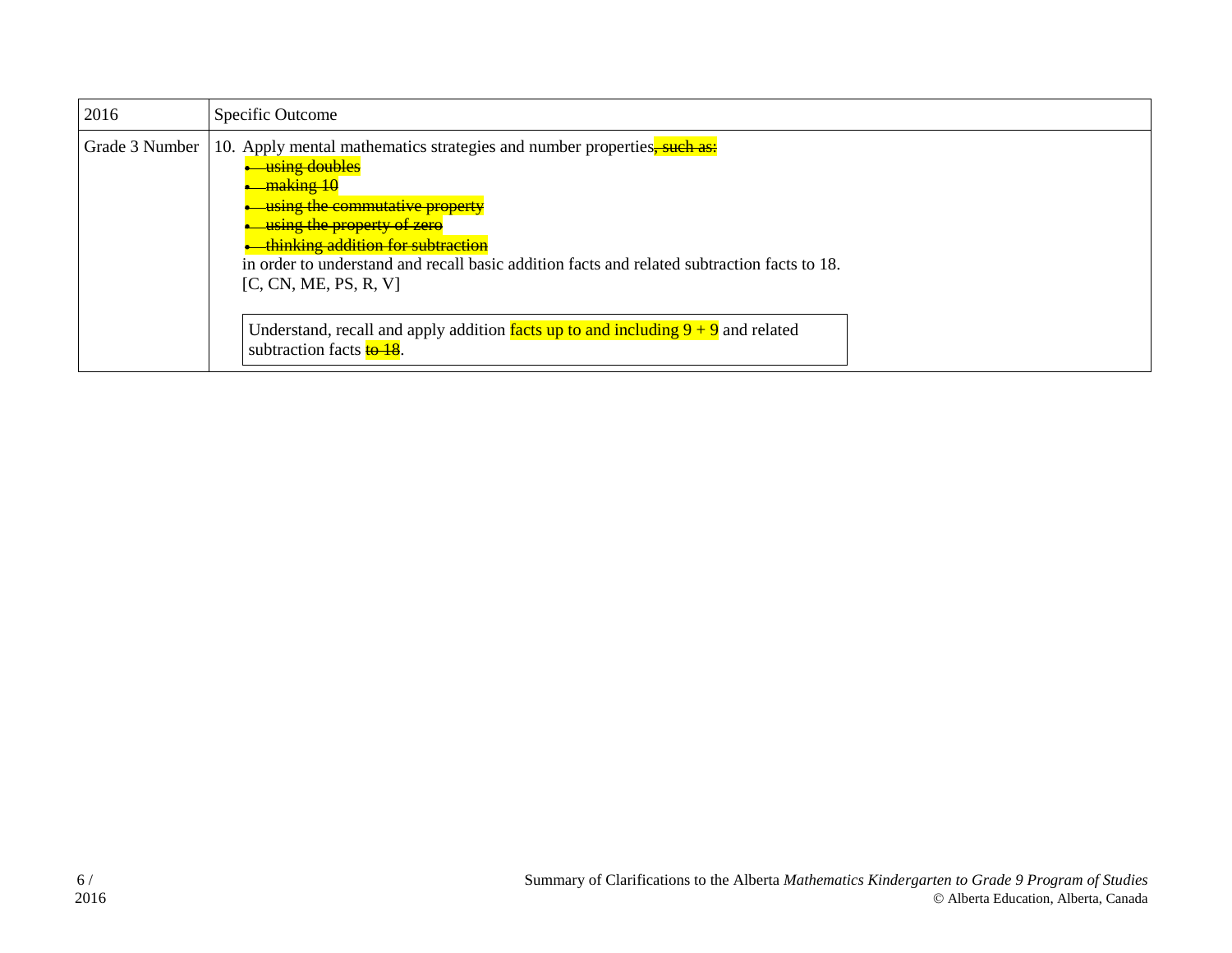| 2016           | Specific Outcome                                                                                                                                                                                                                                                                                                                              |
|----------------|-----------------------------------------------------------------------------------------------------------------------------------------------------------------------------------------------------------------------------------------------------------------------------------------------------------------------------------------------|
| Grade 3 Number | 10. Apply mental mathematics strategies and number properties, such as:<br>using doubles<br><del>making 10</del><br>using the commutative property<br>using the property of zero<br>thinking addition for subtraction<br>in order to understand and recall basic addition facts and related subtraction facts to 18.<br>[C, CN, ME, PS, R, V] |
|                | Understand, recall and apply addition facts up to and including $9 + 9$ and related<br>subtraction facts <b>to 18</b> .                                                                                                                                                                                                                       |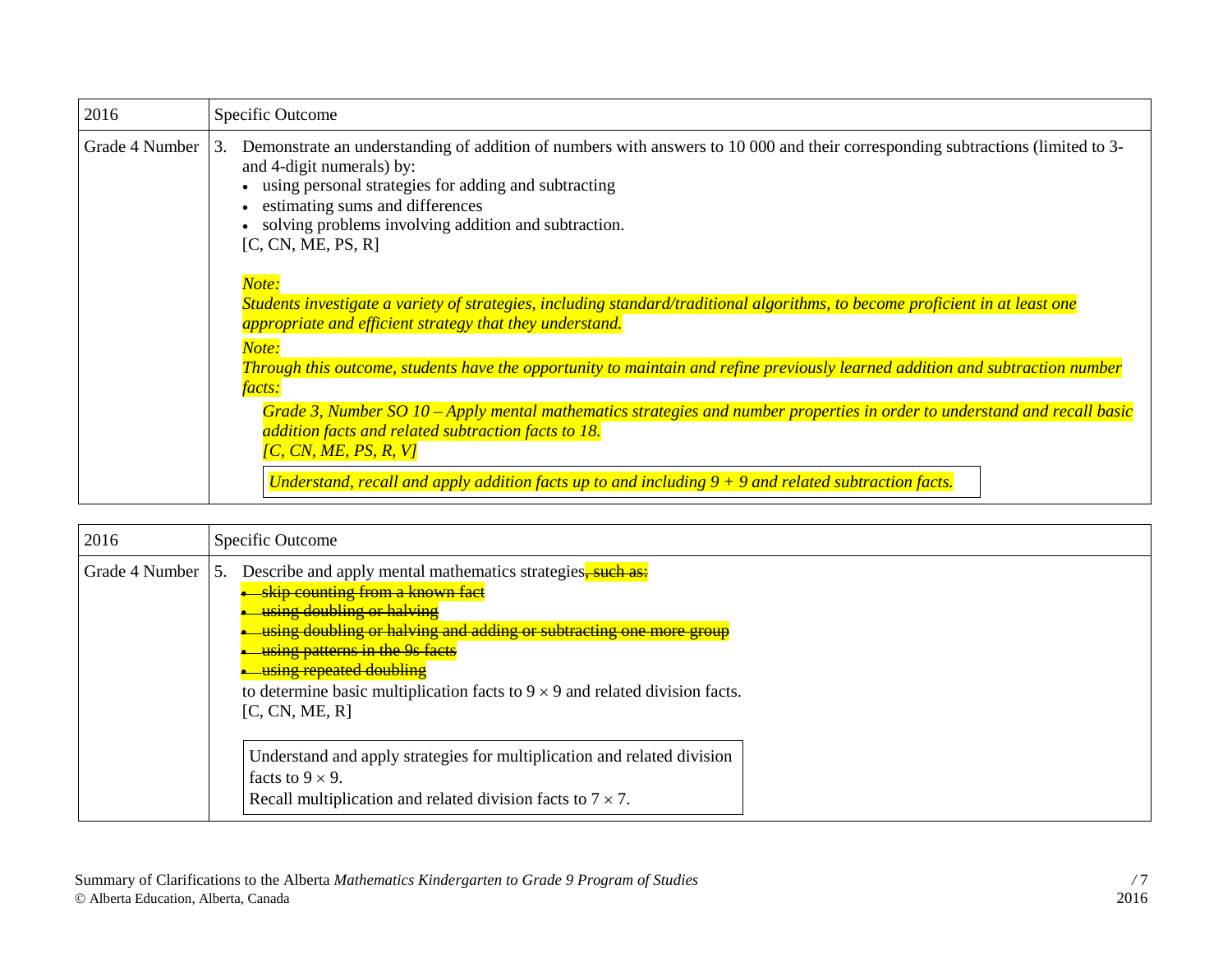| 2016           | Specific Outcome                                                                                                                                                                                                                                                                                                                           |
|----------------|--------------------------------------------------------------------------------------------------------------------------------------------------------------------------------------------------------------------------------------------------------------------------------------------------------------------------------------------|
| Grade 4 Number | Demonstrate an understanding of addition of numbers with answers to 10 000 and their corresponding subtractions (limited to 3-<br>3.<br>and 4-digit numerals) by:<br>using personal strategies for adding and subtracting<br>estimating sums and differences<br>solving problems involving addition and subtraction.<br>[C, CN, ME, PS, R] |
|                | Note:<br>Students investigate a variety of strategies, including standard/traditional algorithms, to become proficient in at least one<br>appropriate and efficient strategy that they understand.                                                                                                                                         |
|                | Note:<br>Through this outcome, students have the opportunity to maintain and refine previously learned addition and subtraction number<br><i>facts:</i><br>Grade 3, Number SO 10 – Apply mental mathematics strategies and number properties in order to understand and recall basic                                                       |
|                | addition facts and related subtraction facts to 18.<br>$\overline{IC}$ , CN, ME, PS, R, V]<br>Understand, recall and apply addition facts up to and including $9 + 9$ and related subtraction facts.                                                                                                                                       |

| 2016           | Specific Outcome                                                                                                                                                                                                                                                                                                                                                                                    |
|----------------|-----------------------------------------------------------------------------------------------------------------------------------------------------------------------------------------------------------------------------------------------------------------------------------------------------------------------------------------------------------------------------------------------------|
| Grade 4 Number | Describe and apply mental mathematics strategies, such as:<br>-5.<br><b>-skip</b> counting from a known fact<br><u>using doubling or halving</u><br>using doubling or halving and adding or subtracting one more group<br>using patterns in the 9s facts<br><u>using repeated doubling</u><br>to determine basic multiplication facts to $9 \times 9$ and related division facts.<br>[C, CN, ME, R] |
|                | Understand and apply strategies for multiplication and related division<br>facts to $9 \times 9$ .<br>Recall multiplication and related division facts to $7 \times 7$ .                                                                                                                                                                                                                            |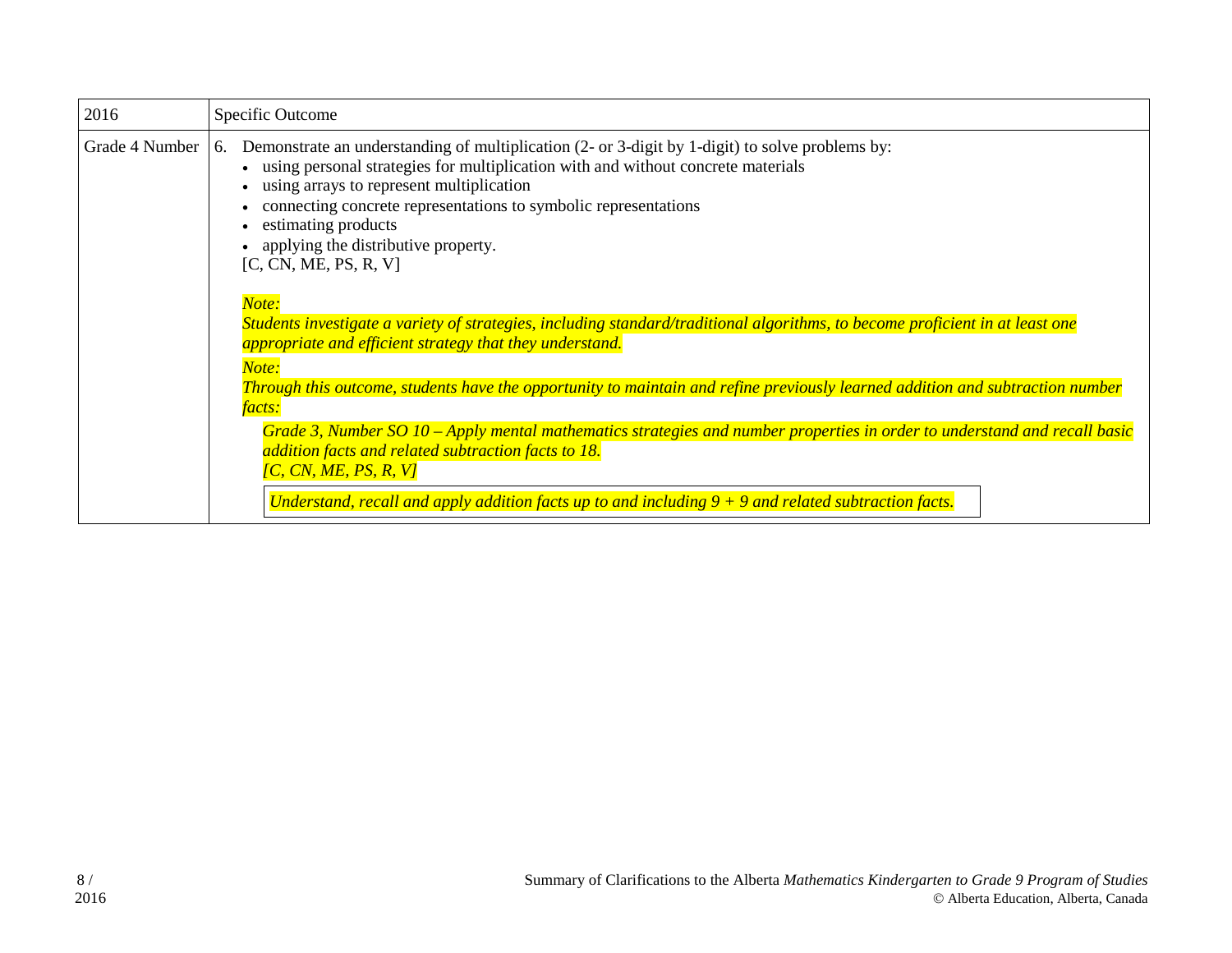| 2016           | Specific Outcome                                                                                                                                                                                                                                                                                                                                                                                |
|----------------|-------------------------------------------------------------------------------------------------------------------------------------------------------------------------------------------------------------------------------------------------------------------------------------------------------------------------------------------------------------------------------------------------|
| Grade 4 Number | Demonstrate an understanding of multiplication (2- or 3-digit by 1-digit) to solve problems by:<br>6.<br>using personal strategies for multiplication with and without concrete materials<br>using arrays to represent multiplication<br>connecting concrete representations to symbolic representations<br>estimating products<br>applying the distributive property.<br>[C, CN, ME, PS, R, V] |
|                | Note:<br>Students investigate a variety of strategies, including standard/traditional algorithms, to become proficient in at least one<br>appropriate and efficient strategy that they understand.<br>Note:                                                                                                                                                                                     |
|                | Through this outcome, students have the opportunity to maintain and refine previously learned addition and subtraction number<br><i>facts:</i>                                                                                                                                                                                                                                                  |
|                | Grade 3, Number SO 10 – Apply mental mathematics strategies and number properties in order to understand and recall basic<br>addition facts and related subtraction facts to 18.<br>[C, CN, ME, PS, R, V]<br>Understand, recall and apply addition facts up to and including $9 + 9$ and related subtraction facts.                                                                             |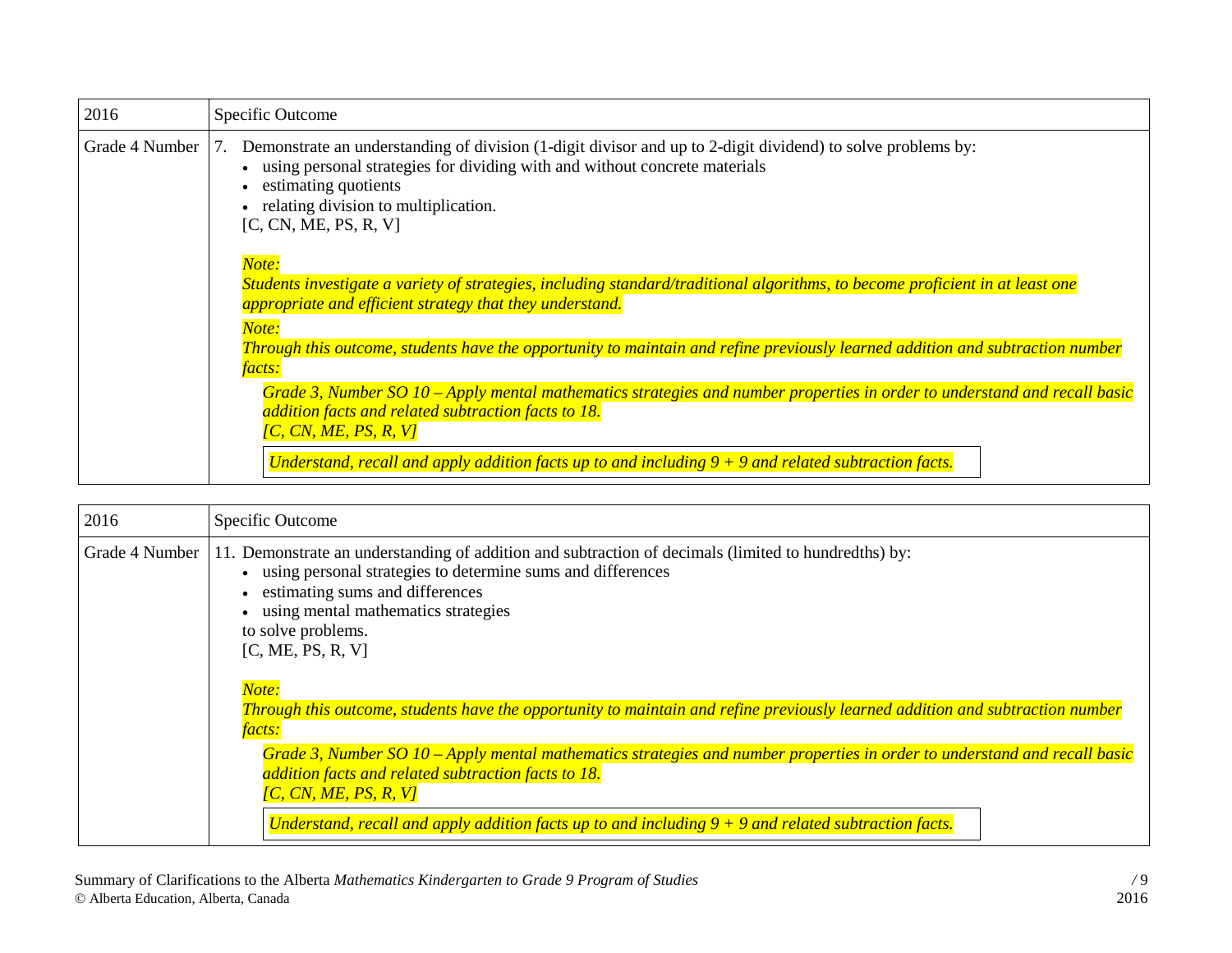| 2016           | Specific Outcome                                                                                                                                                                                                                                                                                                                                       |
|----------------|--------------------------------------------------------------------------------------------------------------------------------------------------------------------------------------------------------------------------------------------------------------------------------------------------------------------------------------------------------|
| Grade 4 Number | Demonstrate an understanding of division (1-digit divisor and up to 2-digit dividend) to solve problems by:<br>7.<br>using personal strategies for dividing with and without concrete materials<br>estimating quotients<br>relating division to multiplication.<br>[C, CN, ME, PS, R, V]                                                               |
|                | Note:<br>Students investigate a variety of strategies, including standard/traditional algorithms, to become proficient in at least one<br>appropriate and efficient strategy that they understand.<br>Note:<br>Through this outcome, students have the opportunity to maintain and refine previously learned addition and subtraction number<br>facts: |
|                | Grade 3, Number SO 10 – Apply mental mathematics strategies and number properties in order to understand and recall basic<br>addition facts and related subtraction facts to 18.<br>[C, CN, ME, PS, R, V]<br>Understand, recall and apply addition facts up to and including $9 + 9$ and related subtraction facts.                                    |

| 2016           | Specific Outcome                                                                                                                                                                                                                                                                                                                                                                                                                                                                                                                                                                                                                                                                                                                                                                            |
|----------------|---------------------------------------------------------------------------------------------------------------------------------------------------------------------------------------------------------------------------------------------------------------------------------------------------------------------------------------------------------------------------------------------------------------------------------------------------------------------------------------------------------------------------------------------------------------------------------------------------------------------------------------------------------------------------------------------------------------------------------------------------------------------------------------------|
| Grade 4 Number | Demonstrate an understanding of addition and subtraction of decimals (limited to hundredths) by:<br>11.<br>using personal strategies to determine sums and differences<br>estimating sums and differences<br>using mental mathematics strategies<br>to solve problems.<br>[C, ME, PS, R, V]<br>Note:<br>Through this outcome, students have the opportunity to maintain and refine previously learned addition and subtraction number<br><i>facts:</i><br>Grade 3, Number SO 10 – Apply mental mathematics strategies and number properties in order to understand and recall basic<br>addition facts and related subtraction facts to 18.<br>$\overline{IC}$ , CN, ME, PS, R, V]<br>Understand, recall and apply addition facts up to and including $9 + 9$ and related subtraction facts. |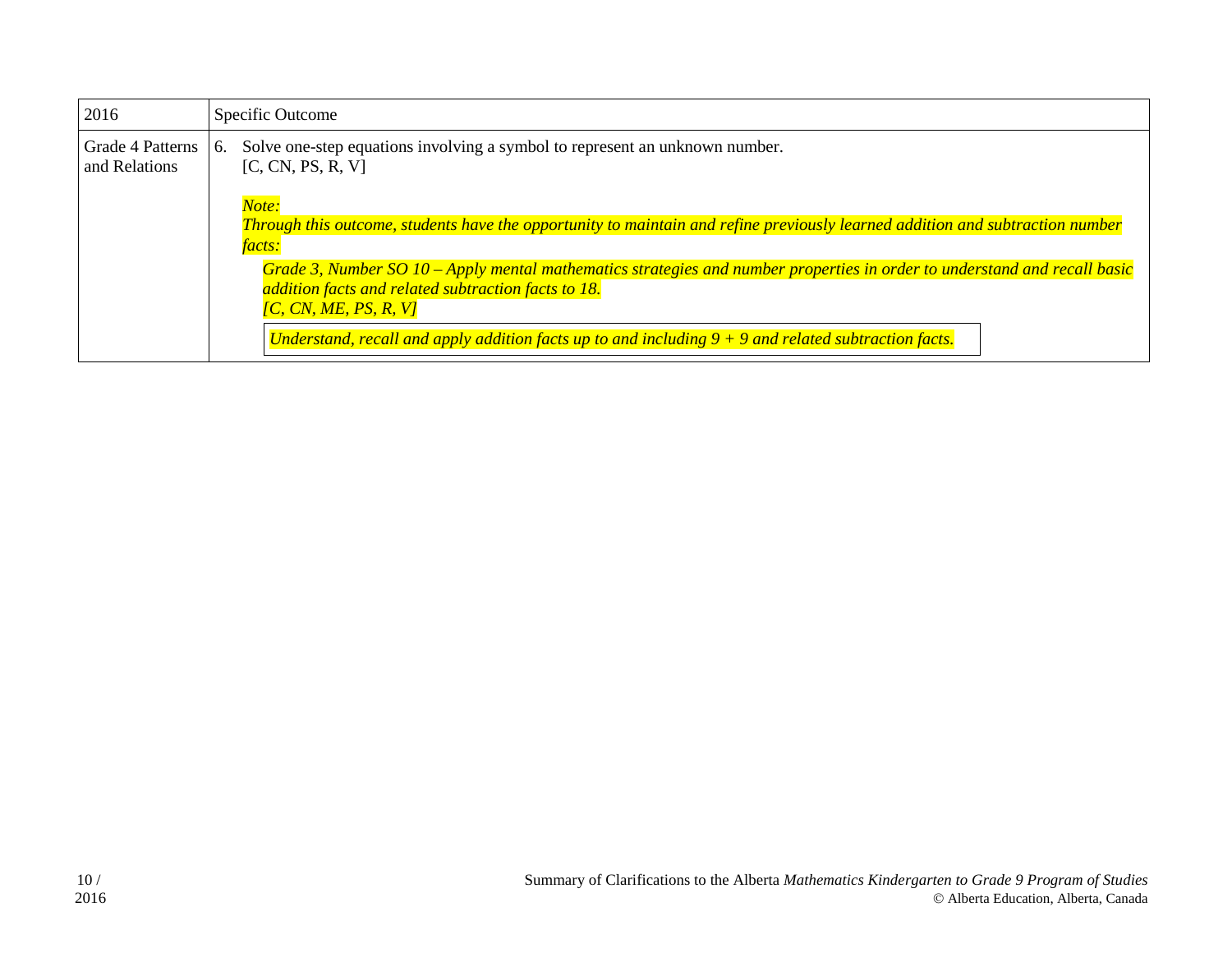| 2016                              | Specific Outcome                                                                                                                                                                                                                                                                                                                  |
|-----------------------------------|-----------------------------------------------------------------------------------------------------------------------------------------------------------------------------------------------------------------------------------------------------------------------------------------------------------------------------------|
| Grade 4 Patterns<br>and Relations | Solve one-step equations involving a symbol to represent an unknown number.<br>6.<br>[C, CN, PS, R, V]                                                                                                                                                                                                                            |
|                                   | Note:<br>Through this outcome, students have the opportunity to maintain and refine previously learned addition and subtraction number<br><i>facts:</i>                                                                                                                                                                           |
|                                   | Grade 3, Number SO 10 – Apply mental mathematics strategies and number properties in order to understand and recall basic<br>addition facts and related subtraction facts to 18.<br>$\overline{IC}$ , CN, ME, PS, R, V]<br>Understand, recall and apply addition facts up to and including $9 + 9$ and related subtraction facts. |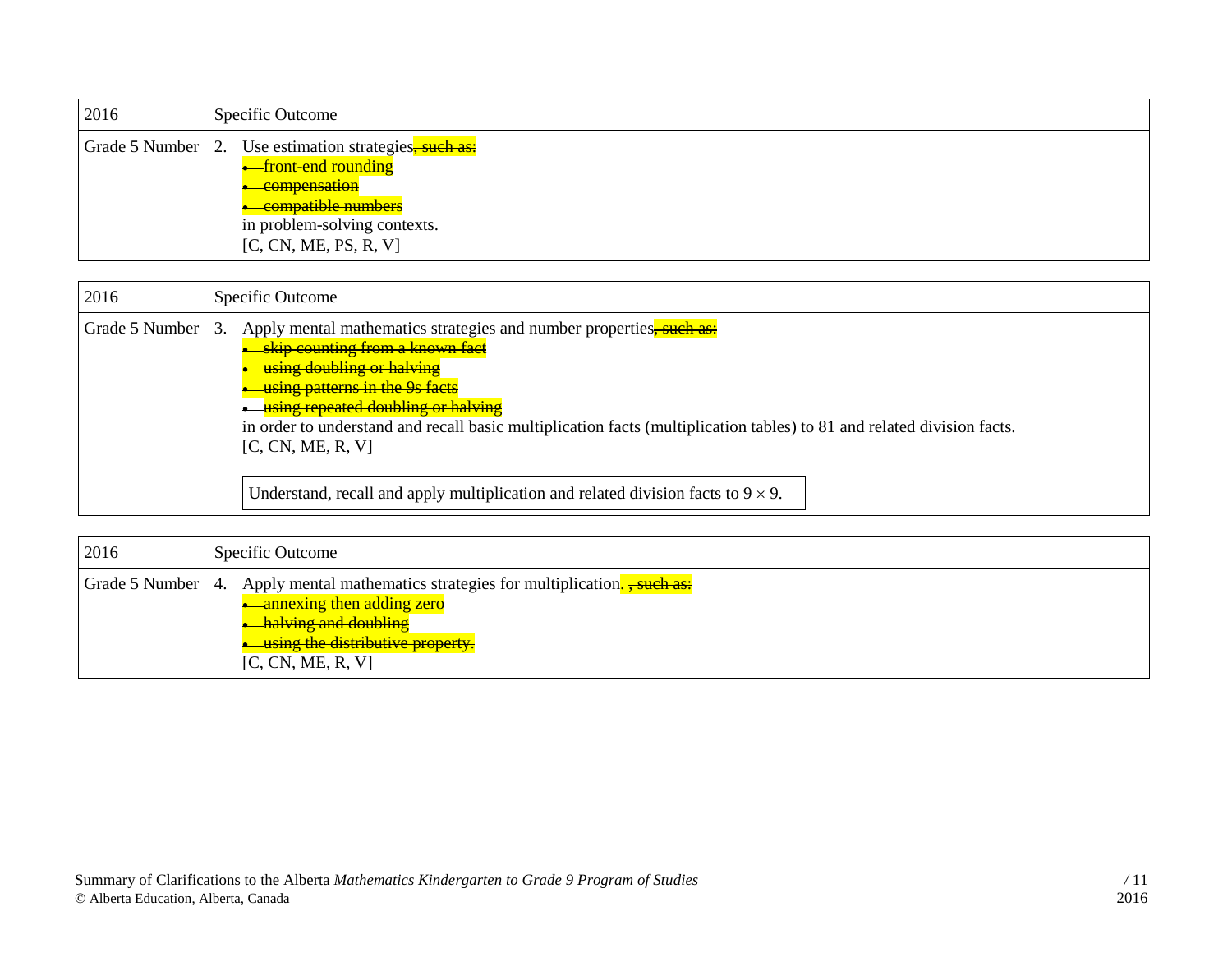| 2016 | Specific Outcome                                                                                                                                                                                        |
|------|---------------------------------------------------------------------------------------------------------------------------------------------------------------------------------------------------------|
|      | Grade 5 Number 2. Use estimation strategies, such as:<br><b>front-end rounding</b><br><del>compensation</del><br><del>compatible numbers</del><br>in problem-solving contexts.<br>[C, CN, ME, PS, R, V] |

| 2016           | Specific Outcome                                                                                                                                                                                                                                                                                                                                                                                    |
|----------------|-----------------------------------------------------------------------------------------------------------------------------------------------------------------------------------------------------------------------------------------------------------------------------------------------------------------------------------------------------------------------------------------------------|
| Grade 5 Number | Apply mental mathematics strategies and number properties, such as:<br>$\overline{3}$ .<br><b>skip counting from a known fact</b><br>using doubling or halving<br><b>using patterns in the 9s facts</b><br><u>using repeated doubling or halving</u><br>in order to understand and recall basic multiplication facts (multiplication tables) to 81 and related division facts.<br>[C, CN, ME, R, V] |
|                | Understand, recall and apply multiplication and related division facts to $9 \times 9$ .                                                                                                                                                                                                                                                                                                            |

| 2016                | Specific Outcome                                                                                                                                                                                   |
|---------------------|----------------------------------------------------------------------------------------------------------------------------------------------------------------------------------------------------|
| Grade 5 Number   4. | Apply mental mathematics strategies for multiplication. <del>, such as:</del><br>annexing then adding zero<br><b>halving and doubling</b><br>using the distributive property.<br>[C, CN, ME, R, V] |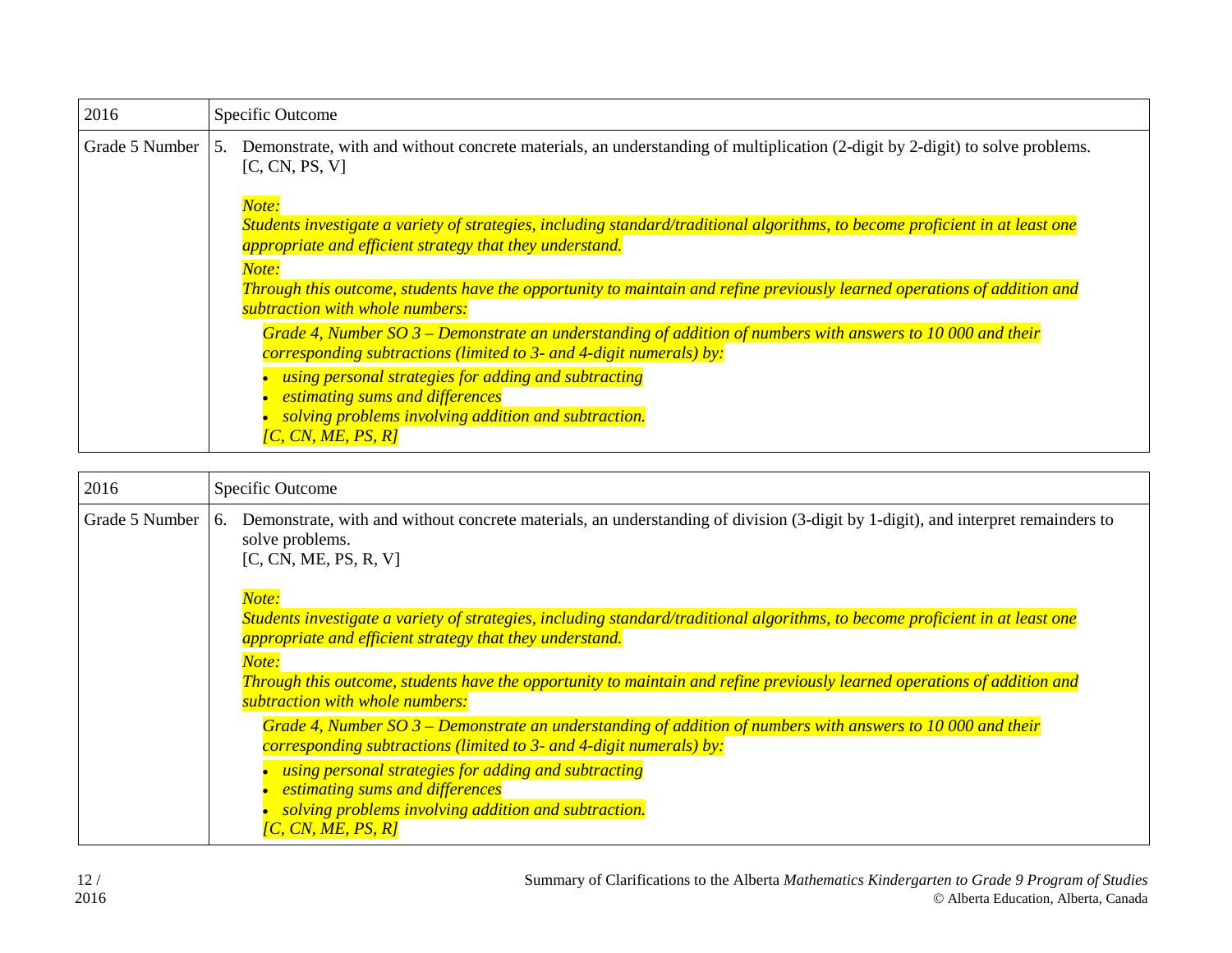| 2016           | Specific Outcome                                                                                                                                                                                                                                                                                                                                                            |
|----------------|-----------------------------------------------------------------------------------------------------------------------------------------------------------------------------------------------------------------------------------------------------------------------------------------------------------------------------------------------------------------------------|
| Grade 5 Number | Demonstrate, with and without concrete materials, an understanding of multiplication (2-digit by 2-digit) to solve problems.<br>.5.<br>[C, CN, PS, V]                                                                                                                                                                                                                       |
|                | Note:<br>Students investigate a variety of strategies, including standard/traditional algorithms, to become proficient in at least one<br>appropriate and efficient strategy that they understand.<br>Note:<br>Through this outcome, students have the opportunity to maintain and refine previously learned operations of addition and<br>subtraction with whole numbers:  |
|                | Grade 4, Number SO $3$ – Demonstrate an understanding of addition of numbers with answers to 10 000 and their<br>corresponding subtractions (limited to 3- and 4-digit numerals) by:<br>using personal strategies for adding and subtracting<br>estimating sums and differences<br>solving problems involving addition and subtraction.<br>$\overline{IC}$ , CN, ME, PS, R] |

| 2016           | Specific Outcome                                                                                                                                                                                                                                                                                                                                                           |
|----------------|----------------------------------------------------------------------------------------------------------------------------------------------------------------------------------------------------------------------------------------------------------------------------------------------------------------------------------------------------------------------------|
| Grade 5 Number | Demonstrate, with and without concrete materials, an understanding of division (3-digit by 1-digit), and interpret remainders to<br>6.<br>solve problems.<br>[C, CN, ME, PS, R, V]                                                                                                                                                                                         |
|                | Note:<br>Students investigate a variety of strategies, including standard/traditional algorithms, to become proficient in at least one<br>appropriate and efficient strategy that they understand.<br>Note:<br>Through this outcome, students have the opportunity to maintain and refine previously learned operations of addition and<br>subtraction with whole numbers: |
|                | Grade 4, Number SO $3$ – Demonstrate an understanding of addition of numbers with answers to 10 000 and their<br>corresponding subtractions (limited to 3- and 4-digit numerals) by:<br>using personal strategies for adding and subtracting<br><i>estimating sums and differences</i><br>solving problems involving addition and subtraction.<br>[C, CN, ME, PS, R]       |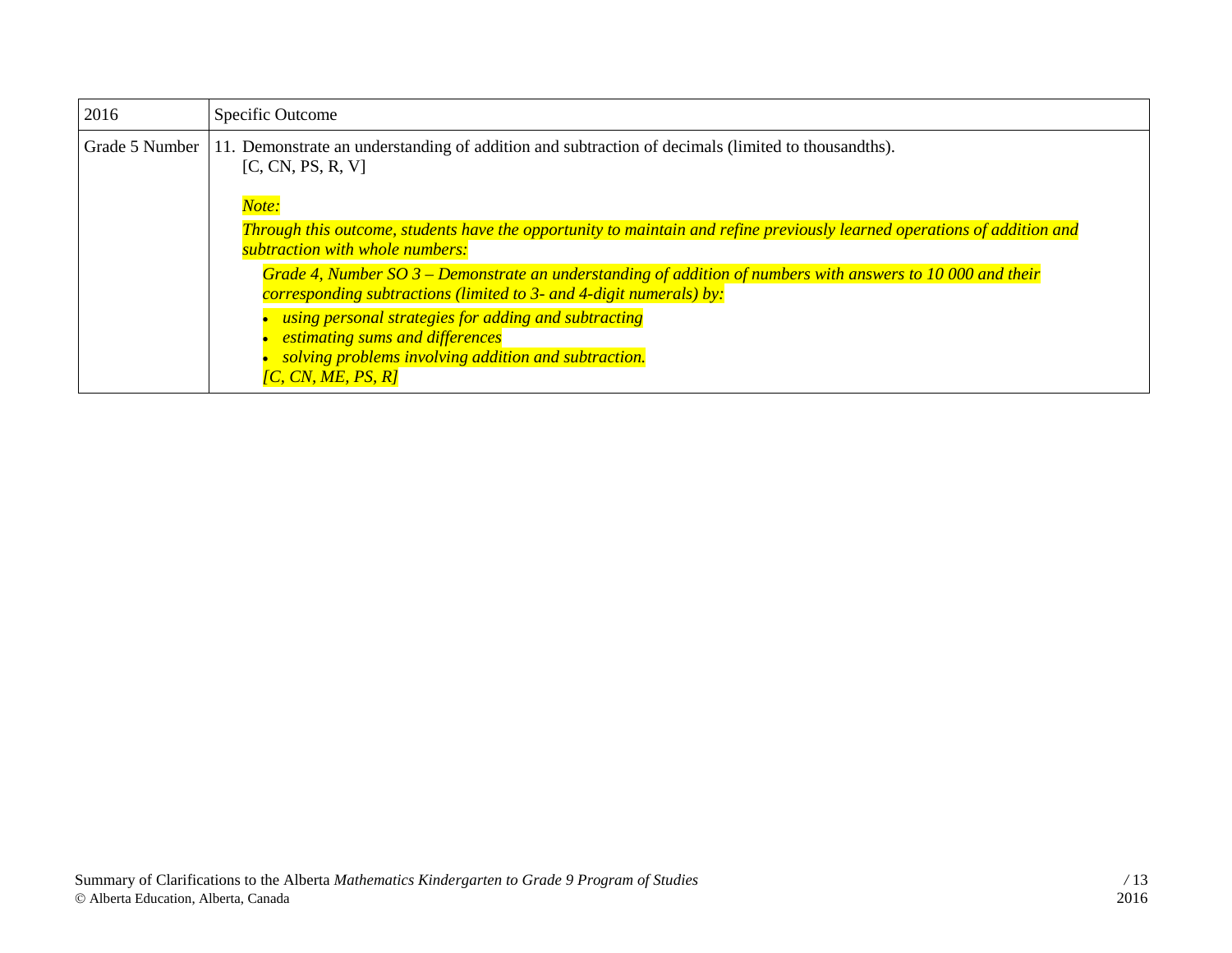| 2016           | Specific Outcome                                                                                                                                                                    |
|----------------|-------------------------------------------------------------------------------------------------------------------------------------------------------------------------------------|
| Grade 5 Number | 11. Demonstrate an understanding of addition and subtraction of decimals (limited to thousandths).<br>[C, CN, PS, R, V]                                                             |
|                | Note:<br>Through this outcome, students have the opportunity to maintain and refine previously learned operations of addition and                                                   |
|                | subtraction with whole numbers:<br>Grade 4, Number SO $3$ – Demonstrate an understanding of addition of numbers with answers to 10 000 and their                                    |
|                | corresponding subtractions (limited to 3- and 4-digit numerals) by:                                                                                                                 |
|                | using personal strategies for adding and subtracting<br>estimating sums and differences<br>solving problems involving addition and subtraction.<br>$\overline{IC}$ , CN, ME, PS, R] |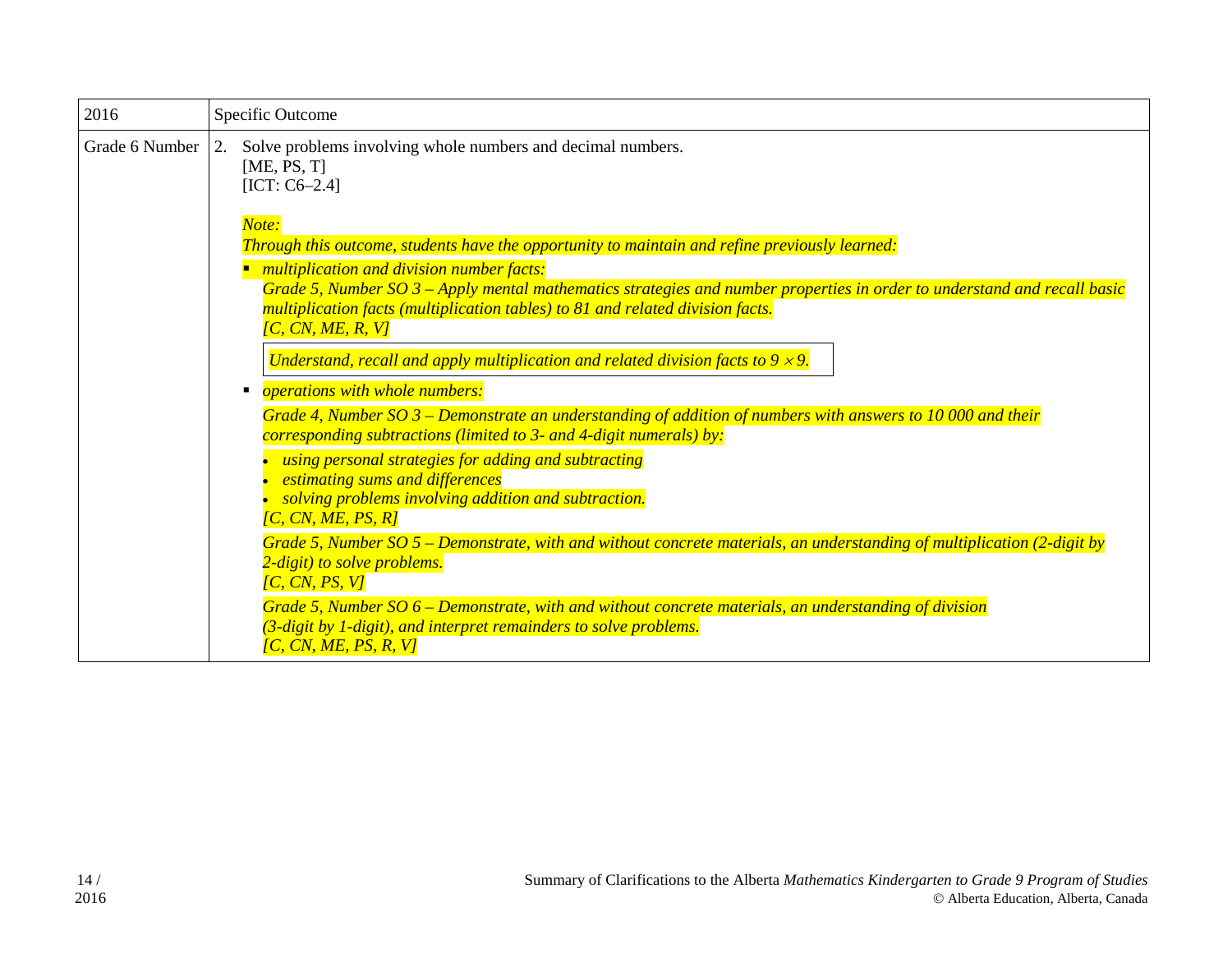| 2016           | Specific Outcome                                                                                                                                                                                      |
|----------------|-------------------------------------------------------------------------------------------------------------------------------------------------------------------------------------------------------|
| Grade 6 Number | 2.<br>Solve problems involving whole numbers and decimal numbers.<br>[ME, PS, T]<br>$[ICT: C6-2.4]$                                                                                                   |
|                | Note:<br>Through this outcome, students have the opportunity to maintain and refine previously learned:                                                                                               |
|                | multiplication and division number facts:<br>Grade 5, Number $SO_3$ – Apply mental mathematics strategies and number properties in order to understand and recall basic                               |
|                | multiplication facts (multiplication tables) to 81 and related division facts.<br>[C, CN, ME, R, V]                                                                                                   |
|                | Understand, recall and apply multiplication and related division facts to $9 \times 9$ .                                                                                                              |
|                | <i><b>operations with whole numbers:</b></i>                                                                                                                                                          |
|                | Grade 4, Number SO $3$ – Demonstrate an understanding of addition of numbers with answers to 10 000 and their<br>corresponding subtractions (limited to 3- and 4-digit numerals) by:                  |
|                | using personal strategies for adding and subtracting<br>estimating sums and differences<br>solving problems involving addition and subtraction.<br>[C, CN, ME, PS, R]                                 |
|                | Grade 5, Number SO $5$ – Demonstrate, with and without concrete materials, an understanding of multiplication (2-digit by<br>2-digit) to solve problems.<br>[ $C, CN, PS, V$ ]                        |
|                | Grade 5, Number $SO$ 6 – Demonstrate, with and without concrete materials, an understanding of division<br>(3-digit by 1-digit), and interpret remainders to solve problems.<br>[C, CN, ME, PS, R, V] |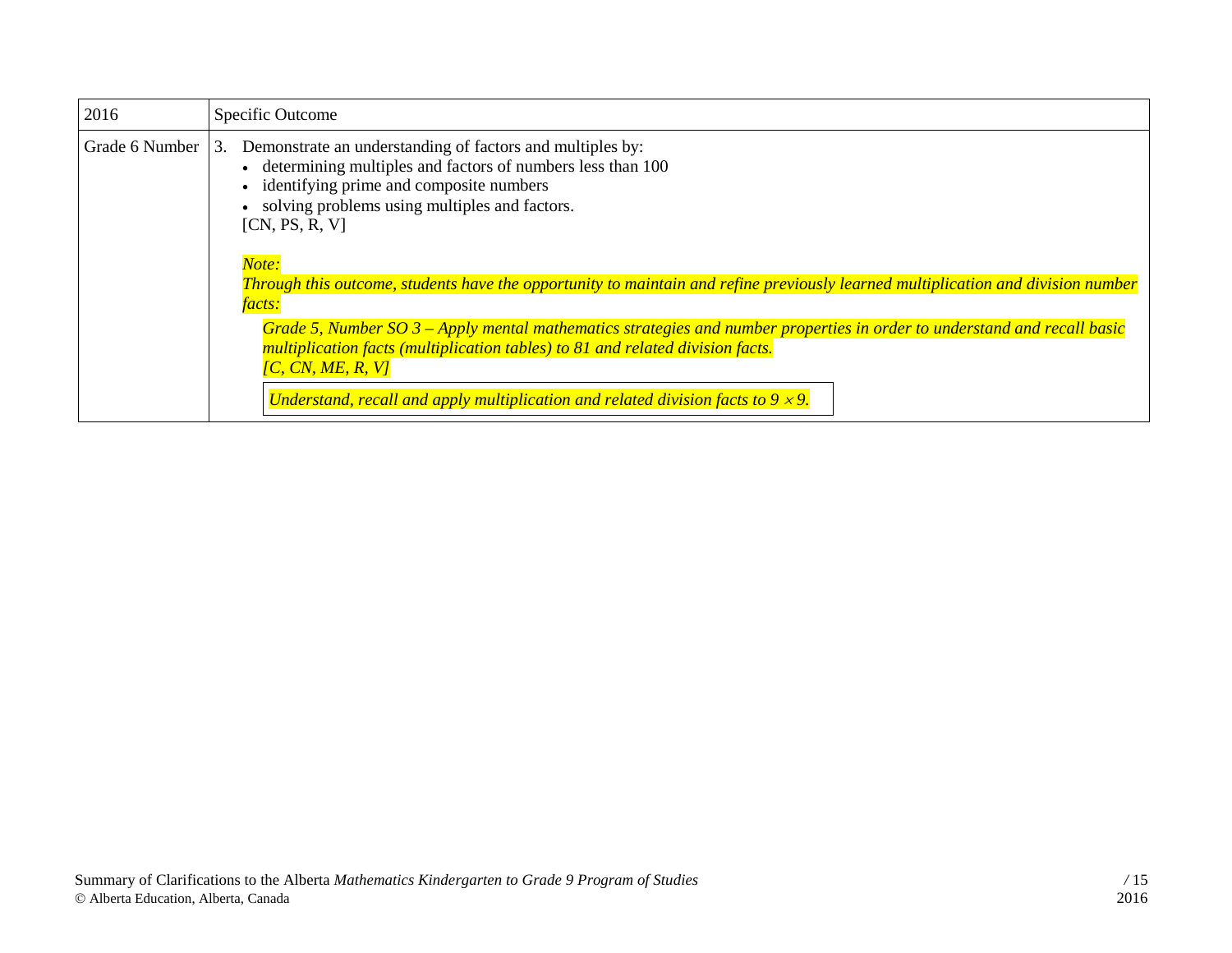| 2016           | Specific Outcome                                                                                                                                                                                                                                                                                                                                                                                                                                                                                                                                                                                                                            |
|----------------|---------------------------------------------------------------------------------------------------------------------------------------------------------------------------------------------------------------------------------------------------------------------------------------------------------------------------------------------------------------------------------------------------------------------------------------------------------------------------------------------------------------------------------------------------------------------------------------------------------------------------------------------|
| Grade 6 Number | Demonstrate an understanding of factors and multiples by:<br>3.<br>• determining multiples and factors of numbers less than 100<br>• identifying prime and composite numbers<br>solving problems using multiples and factors.<br>[CN, PS, R, V]<br>Note:<br>Through this outcome, students have the opportunity to maintain and refine previously learned multiplication and division number<br>facts:<br>Grade 5, Number SO $3$ – Apply mental mathematics strategies and number properties in order to understand and recall basic<br>multiplication facts (multiplication tables) to 81 and related division facts.<br>[C, CN, ME, R, V] |
|                | Understand, recall and apply multiplication and related division facts to $9 \times 9$ .                                                                                                                                                                                                                                                                                                                                                                                                                                                                                                                                                    |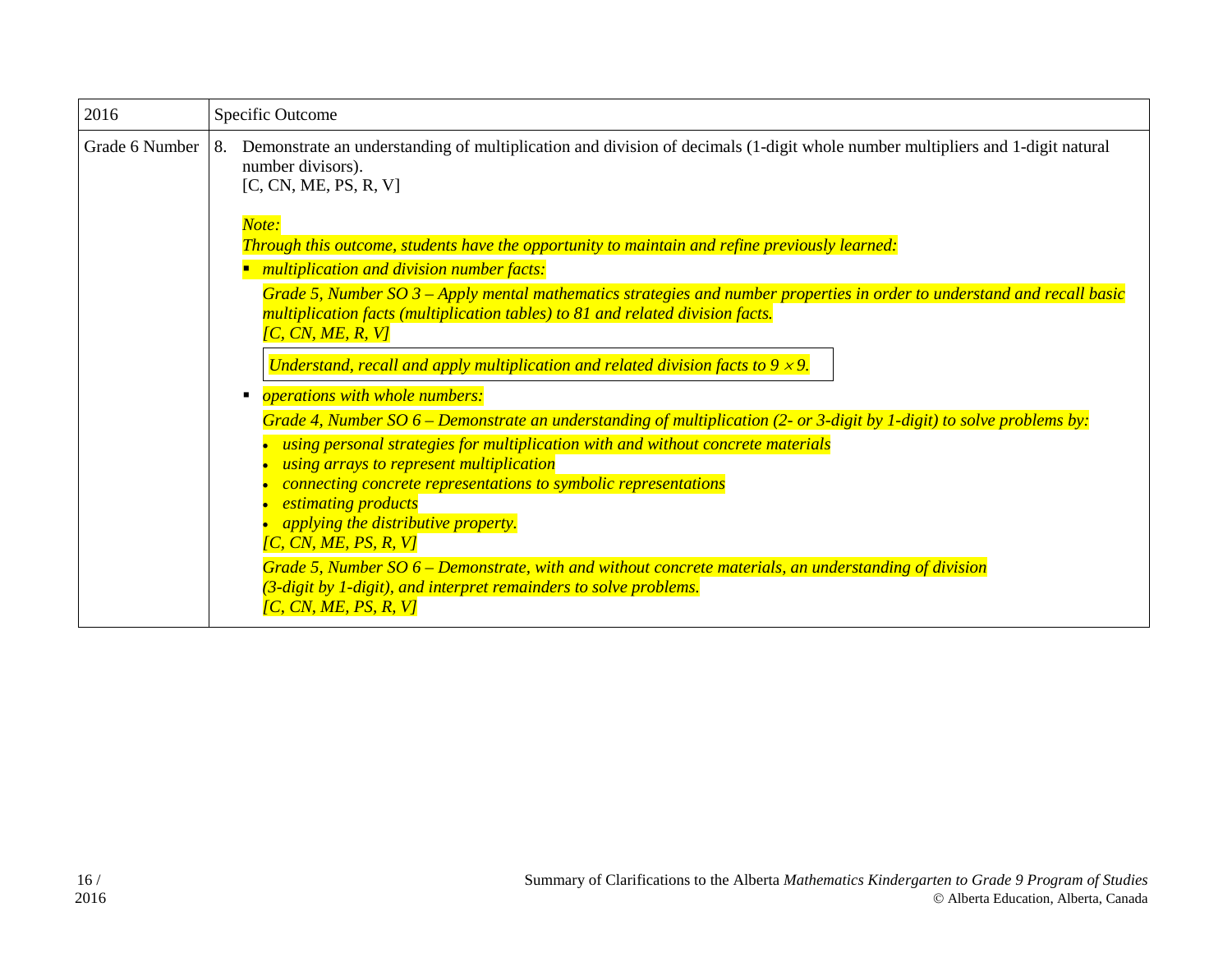| 2016           | Specific Outcome                                                                                                                                                                                                                                                                                                                                                                                                                                                                                                                          |
|----------------|-------------------------------------------------------------------------------------------------------------------------------------------------------------------------------------------------------------------------------------------------------------------------------------------------------------------------------------------------------------------------------------------------------------------------------------------------------------------------------------------------------------------------------------------|
| Grade 6 Number | Demonstrate an understanding of multiplication and division of decimals (1-digit whole number multipliers and 1-digit natural<br>8.<br>number divisors).<br>[C, CN, ME, PS, R, V]                                                                                                                                                                                                                                                                                                                                                         |
|                | Note:<br>Through this outcome, students have the opportunity to maintain and refine previously learned:<br>multiplication and division number facts:                                                                                                                                                                                                                                                                                                                                                                                      |
|                | Grade 5, Number SO 3 – Apply mental mathematics strategies and number properties in order to understand and recall basic<br>multiplication facts (multiplication tables) to 81 and related division facts.<br>$\overline{CC}$ , $\overline{CN}$ , $\overline{ME}$ , $\overline{R}$ , $\overline{VI}$                                                                                                                                                                                                                                      |
|                | Understand, recall and apply multiplication and related division facts to $9 \times 9$ .                                                                                                                                                                                                                                                                                                                                                                                                                                                  |
|                | <i><b>operations with whole numbers:</b></i><br>п                                                                                                                                                                                                                                                                                                                                                                                                                                                                                         |
|                | Grade 4, Number SO $6$ – Demonstrate an understanding of multiplication (2- or 3-digit by 1-digit) to solve problems by:<br>using personal strategies for multiplication with and without concrete materials<br>using arrays to represent multiplication<br>connecting concrete representations to symbolic representations<br><i>estimating products</i><br><i>applying the distributive property.</i><br>[C, CN, ME, PS, R, V]<br>Grade 5, Number SO 6 – Demonstrate, with and without concrete materials, an understanding of division |
|                | (3-digit by 1-digit), and interpret remainders to solve problems.<br>[C, CN, ME, PS, R, V]                                                                                                                                                                                                                                                                                                                                                                                                                                                |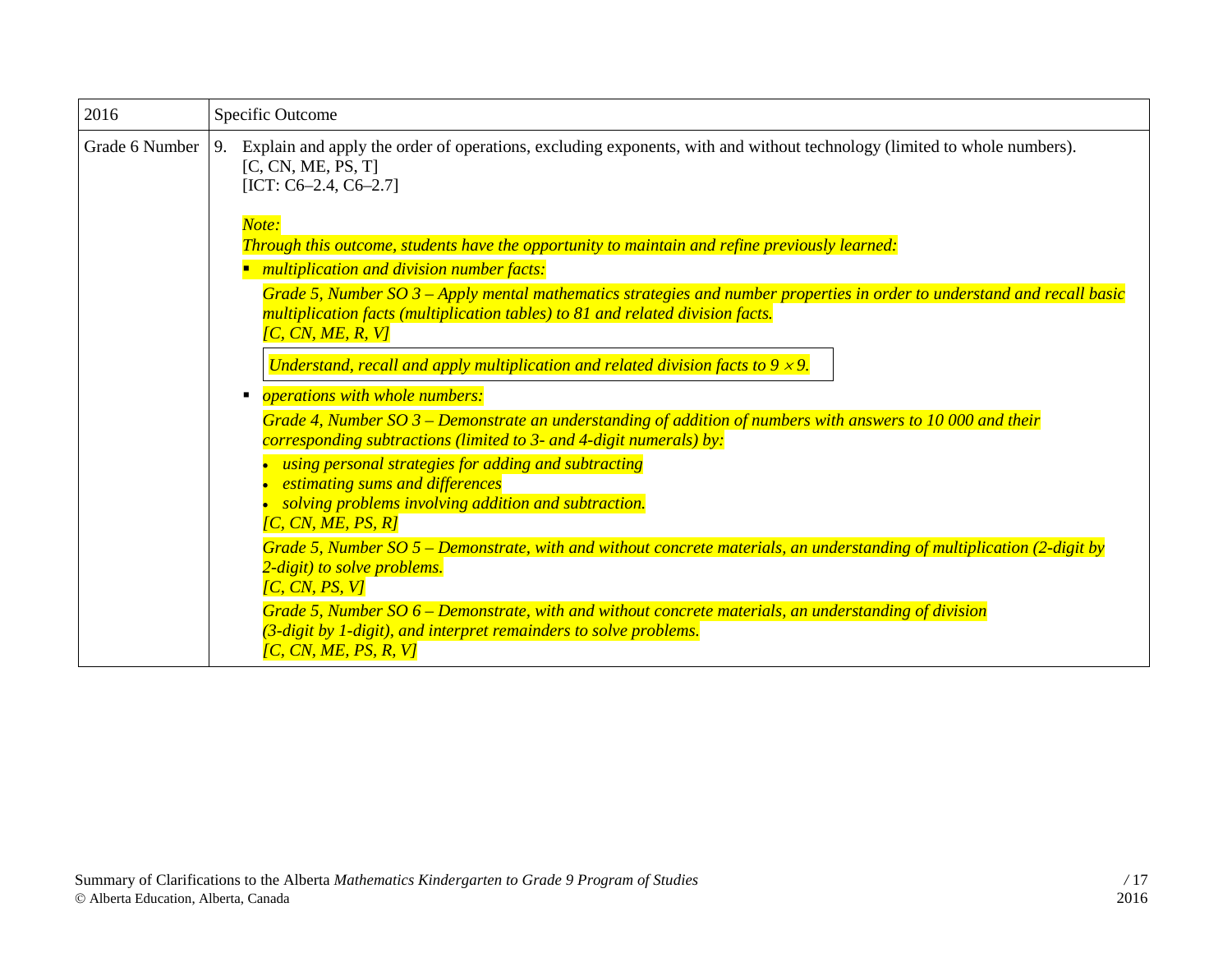| 2016           | Specific Outcome                                                                                                                                                                                                                  |
|----------------|-----------------------------------------------------------------------------------------------------------------------------------------------------------------------------------------------------------------------------------|
| Grade 6 Number | 9. Explain and apply the order of operations, excluding exponents, with and without technology (limited to whole numbers).<br>[C, CN, ME, PS, T]<br>[ICT: $C6-2.4$ , $C6-2.7$ ]                                                   |
|                | Note:<br>Through this outcome, students have the opportunity to maintain and refine previously learned:                                                                                                                           |
|                | multiplication and division number facts:                                                                                                                                                                                         |
|                | Grade 5, Number SO $3$ – Apply mental mathematics strategies and number properties in order to understand and recall basic<br>multiplication facts (multiplication tables) to 81 and related division facts.<br>[C, CN, ME, R, V] |
|                | Understand, recall and apply multiplication and related division facts to $9 \times 9$ .                                                                                                                                          |
|                | <i><b>operations with whole numbers:</b></i>                                                                                                                                                                                      |
|                | Grade 4, Number SO $3$ – Demonstrate an understanding of addition of numbers with answers to 10 000 and their<br>corresponding subtractions (limited to 3- and 4-digit numerals) by:                                              |
|                | using personal strategies for adding and subtracting<br>estimating sums and differences<br>solving problems involving addition and subtraction.<br>[C, CN, ME, PS, R]                                                             |
|                | Grade 5, Number $SO 5$ – Demonstrate, with and without concrete materials, an understanding of multiplication (2-digit by<br>2-digit) to solve problems.<br>[C, CN, PS, V]                                                        |
|                | Grade 5, Number $SO\ 6$ – Demonstrate, with and without concrete materials, an understanding of division<br>(3-digit by 1-digit), and interpret remainders to solve problems.<br>[C, CN, ME, PS, R, V]                            |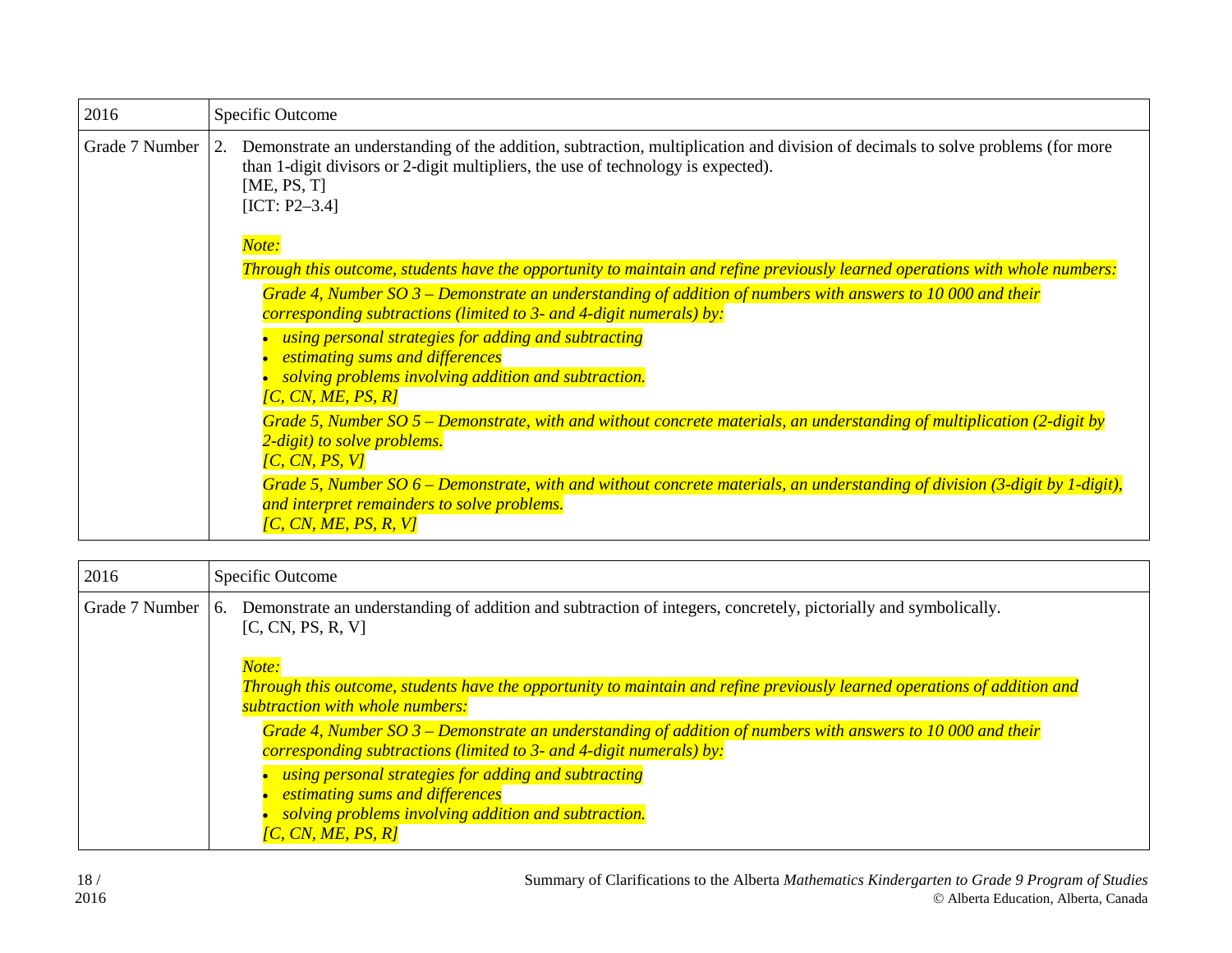| 2016           | Specific Outcome                                                                                                                                                                                                                                               |  |
|----------------|----------------------------------------------------------------------------------------------------------------------------------------------------------------------------------------------------------------------------------------------------------------|--|
| Grade 7 Number | Demonstrate an understanding of the addition, subtraction, multiplication and division of decimals to solve problems (for more<br>2.<br>than 1-digit divisors or 2-digit multipliers, the use of technology is expected).<br>[ME, PS, $T$ ]<br>$[ICT: P2-3.4]$ |  |
|                | Note:                                                                                                                                                                                                                                                          |  |
|                | Through this outcome, students have the opportunity to maintain and refine previously learned operations with whole numbers:                                                                                                                                   |  |
|                | Grade 4, Number SO $3$ – Demonstrate an understanding of addition of numbers with answers to 10 000 and their<br>corresponding subtractions (limited to 3- and 4-digit numerals) by:                                                                           |  |
|                | using personal strategies for adding and subtracting<br>estimating sums and differences<br>solving problems involving addition and subtraction.<br>$\overline{CC}$ , $\overline{CN}$ , $\overline{ME}$ , $\overline{PS}$ , $\overline{RI}$                     |  |
|                | Grade 5, Number SO $5$ – Demonstrate, with and without concrete materials, an understanding of multiplication (2-digit by<br>2-digit) to solve problems.<br>[C, CN, PS, V]                                                                                     |  |
|                | Grade 5, Number SO $6$ – Demonstrate, with and without concrete materials, an understanding of division (3-digit by 1-digit),<br>and interpret remainders to solve problems.<br>[C, CN, ME, PS, R, V]                                                          |  |

| 2016           | Specific Outcome                                                                                                                                                                                                                                                                                                                                                                                                                                                                                                                                                                                                  |
|----------------|-------------------------------------------------------------------------------------------------------------------------------------------------------------------------------------------------------------------------------------------------------------------------------------------------------------------------------------------------------------------------------------------------------------------------------------------------------------------------------------------------------------------------------------------------------------------------------------------------------------------|
| Grade 7 Number | Demonstrate an understanding of addition and subtraction of integers, concretely, pictorially and symbolically.<br>-6.<br>[C, CN, PS, R, V]                                                                                                                                                                                                                                                                                                                                                                                                                                                                       |
|                | Note:<br>Through this outcome, students have the opportunity to maintain and refine previously learned operations of addition and<br>subtraction with whole numbers:<br>Grade 4, Number SO $3$ – Demonstrate an understanding of addition of numbers with answers to 10 000 and their<br>corresponding subtractions (limited to 3- and 4-digit numerals) by:<br>using personal strategies for adding and subtracting<br><i>estimating sums and differences</i><br>solving problems involving addition and subtraction.<br>$\overline{IC}$ , $\overline{CN}$ , $\overline{ME}$ , $\overline{PS}$ , $\overline{RI}$ |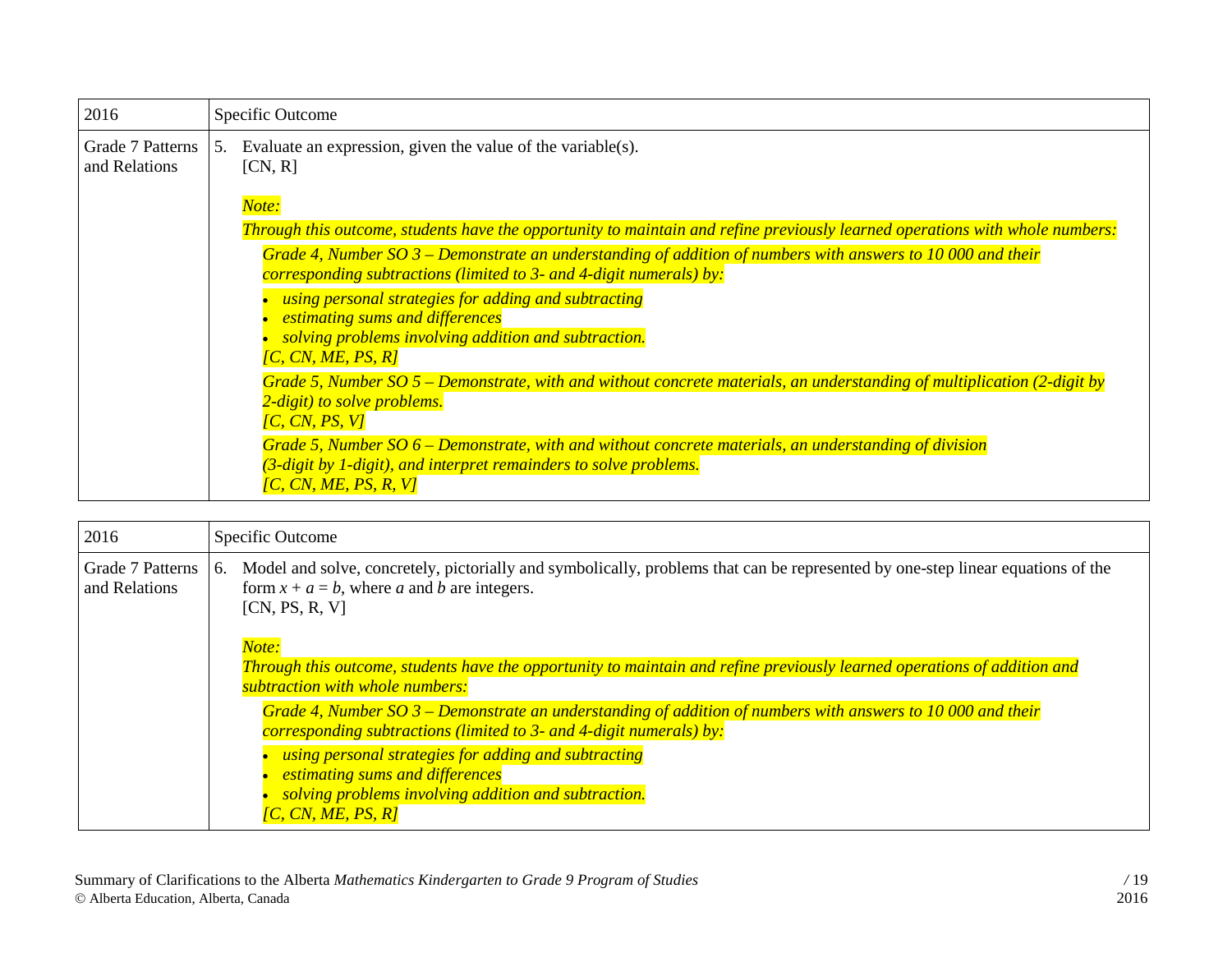| 2016                              |    | Specific Outcome                                                                                                                                                                                                     |
|-----------------------------------|----|----------------------------------------------------------------------------------------------------------------------------------------------------------------------------------------------------------------------|
| Grade 7 Patterns<br>and Relations | 5. | Evaluate an expression, given the value of the variable(s).<br>[CN, R]                                                                                                                                               |
|                                   |    | Note:                                                                                                                                                                                                                |
|                                   |    | Through this outcome, students have the opportunity to maintain and refine previously learned operations with whole numbers:                                                                                         |
|                                   |    | Grade 4, Number SO $3$ – Demonstrate an understanding of addition of numbers with answers to 10 000 and their<br>corresponding subtractions (limited to 3- and 4-digit numerals) by:                                 |
|                                   |    | using personal strategies for adding and subtracting<br>estimating sums and differences                                                                                                                              |
|                                   |    | solving problems involving addition and subtraction.<br>[C, CN, ME, PS, R]                                                                                                                                           |
|                                   |    | Grade 5, Number SO $5$ – Demonstrate, with and without concrete materials, an understanding of multiplication (2-digit by<br>2-digit) to solve problems.<br>[C, CN, PS, V]                                           |
|                                   |    | Grade 5, Number SO 6 – Demonstrate, with and without concrete materials, an understanding of division<br>$(3$ -digit by 1-digit), and interpret remainders to solve problems.<br>$\overline{IC}$ , CN, ME, PS, R, V] |

| 2016                              | Specific Outcome                                                                                                                                                                                          |
|-----------------------------------|-----------------------------------------------------------------------------------------------------------------------------------------------------------------------------------------------------------|
| Grade 7 Patterns<br>and Relations | Model and solve, concretely, pictorially and symbolically, problems that can be represented by one-step linear equations of the<br>6.<br>form $x + a = b$ , where a and b are integers.<br>[CN, PS, R, V] |
|                                   | Note:<br>Through this outcome, students have the opportunity to maintain and refine previously learned operations of addition and                                                                         |
|                                   | subtraction with whole numbers:                                                                                                                                                                           |
|                                   | Grade 4, Number SO $3$ – Demonstrate an understanding of addition of numbers with answers to 10 000 and their<br>corresponding subtractions (limited to 3- and 4-digit numerals) by:                      |
|                                   | using personal strategies for adding and subtracting<br>estimating sums and differences<br>solving problems involving addition and subtraction.<br>$\overline{IC}$ , CN, ME, PS, R]                       |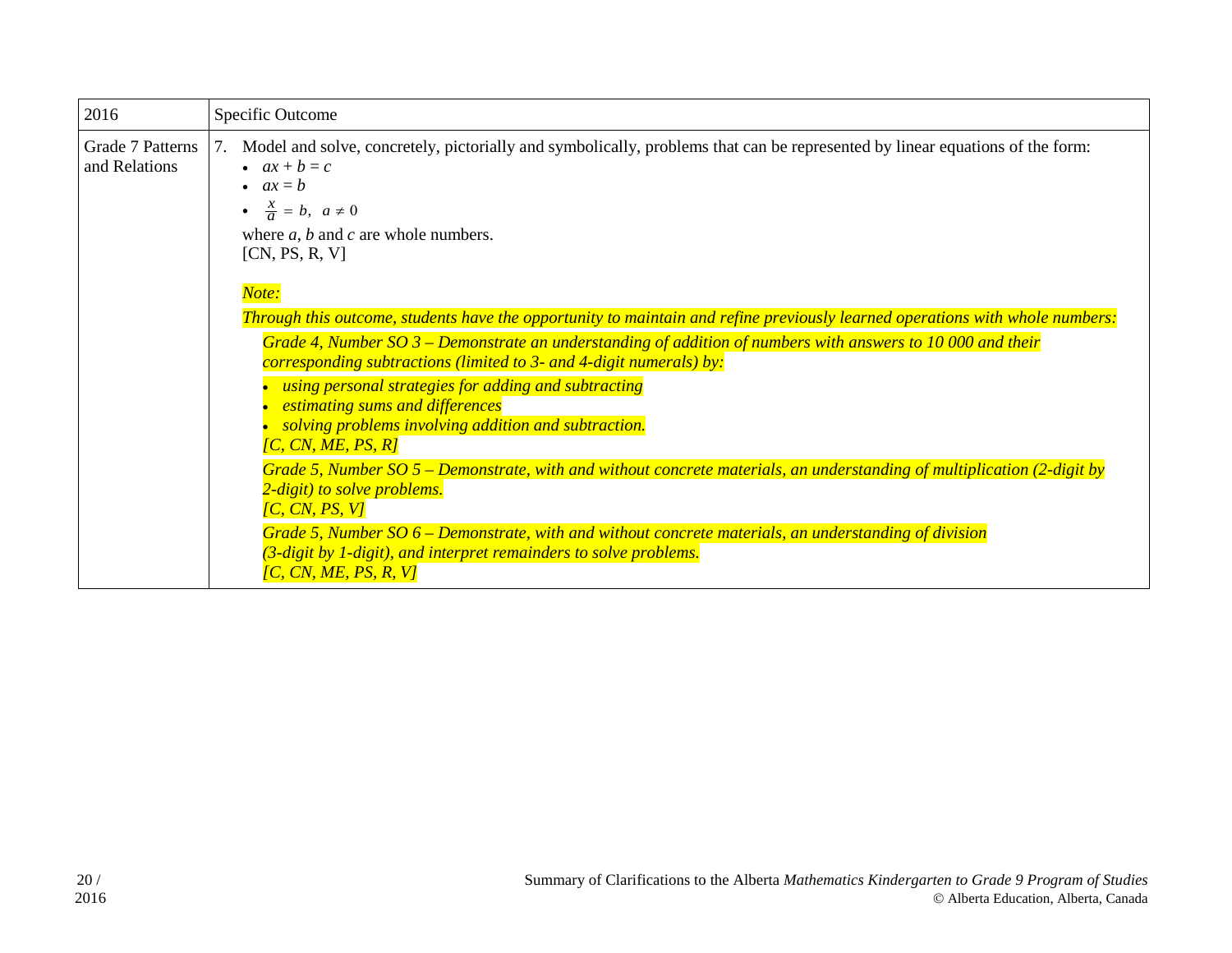| 2016                              | Specific Outcome                                                                                                                                                                                                                                                                                                                                                                                                                                                                                                                                                                                                                                                                                                                                                                                                                                                                                            |
|-----------------------------------|-------------------------------------------------------------------------------------------------------------------------------------------------------------------------------------------------------------------------------------------------------------------------------------------------------------------------------------------------------------------------------------------------------------------------------------------------------------------------------------------------------------------------------------------------------------------------------------------------------------------------------------------------------------------------------------------------------------------------------------------------------------------------------------------------------------------------------------------------------------------------------------------------------------|
| Grade 7 Patterns<br>and Relations | Model and solve, concretely, pictorially and symbolically, problems that can be represented by linear equations of the form:<br>7.<br>$ax + b = c$<br>• $ax = b$<br>$\bullet \quad \frac{x}{a} = b, \ \ a \neq 0$<br>where $a, b$ and $c$ are whole numbers.<br>[CN, PS, R, V]                                                                                                                                                                                                                                                                                                                                                                                                                                                                                                                                                                                                                              |
|                                   | Note:<br>Through this outcome, students have the opportunity to maintain and refine previously learned operations with whole numbers:<br>Grade 4, Number SO $3$ – Demonstrate an understanding of addition of numbers with answers to 10 000 and their<br>corresponding subtractions (limited to 3- and 4-digit numerals) by:<br>using personal strategies for adding and subtracting<br>estimating sums and differences<br>solving problems involving addition and subtraction.<br>[C, CN, ME, PS, R]<br>Grade 5, Number SO $5$ – Demonstrate, with and without concrete materials, an understanding of multiplication (2-digit by<br>2-digit) to solve problems.<br>[C, CN, PS, V]<br>Grade 5, Number $SO$ 6 – Demonstrate, with and without concrete materials, an understanding of division<br>(3-digit by 1-digit), and interpret remainders to solve problems.<br>$\overline{IC}$ , CN, ME, PS, R, V] |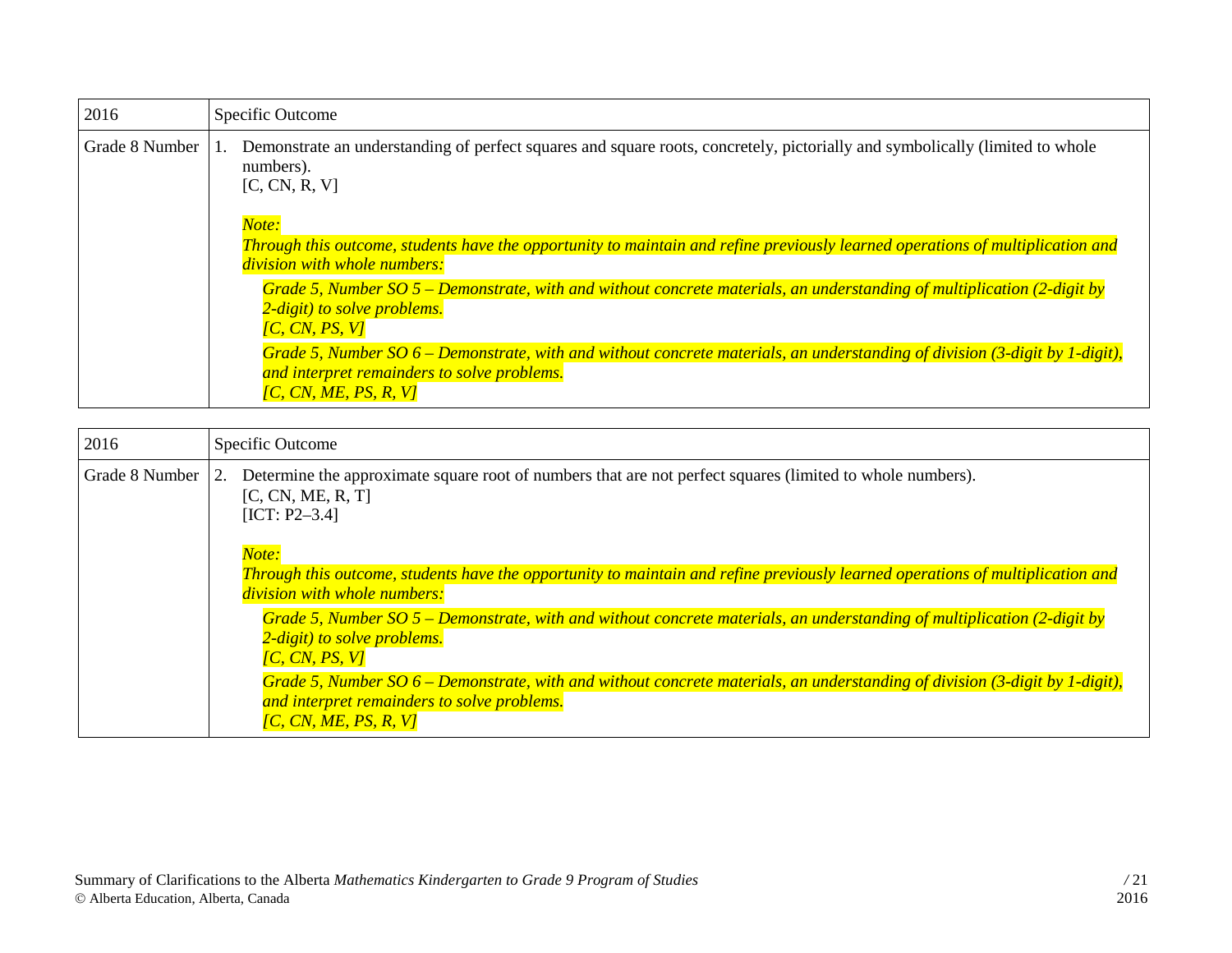| 2016           | Specific Outcome                                                                                                                                                                                                                  |
|----------------|-----------------------------------------------------------------------------------------------------------------------------------------------------------------------------------------------------------------------------------|
| Grade 8 Number | Demonstrate an understanding of perfect squares and square roots, concretely, pictorially and symbolically (limited to whole<br>numbers).<br>[C, CN, R, V]                                                                        |
|                | Note:<br>Through this outcome, students have the opportunity to maintain and refine previously learned operations of multiplication and<br>division with whole numbers:                                                           |
|                | Grade 5, Number SO $5$ – Demonstrate, with and without concrete materials, an understanding of multiplication (2-digit by<br>2-digit) to solve problems.<br>$\overline{IC}$ , $\overline{CN}$ , $\overline{PS}$ , $\overline{VI}$ |
|                | Grade 5, Number SO $6$ – Demonstrate, with and without concrete materials, an understanding of division (3-digit by 1-digit),<br>and interpret remainders to solve problems.<br>$\overline{IC}$ , CN, ME, PS, R, V]               |

| 2016           | Specific Outcome                                                                                                                                                                                                                |
|----------------|---------------------------------------------------------------------------------------------------------------------------------------------------------------------------------------------------------------------------------|
| Grade 8 Number | Determine the approximate square root of numbers that are not perfect squares (limited to whole numbers).<br>2.<br>[C, CN, ME, R, T]<br>$[ICT: P2-3.4]$                                                                         |
|                | Note:                                                                                                                                                                                                                           |
|                | Through this outcome, students have the opportunity to maintain and refine previously learned operations of multiplication and<br>division with whole numbers:                                                                  |
|                | Grade 5, Number SO 5 – Demonstrate, with and without concrete materials, an understanding of multiplication (2-digit by<br>2-digit) to solve problems.<br>$\overline{IC}$ , $\overline{CN}$ , $\overline{PS}$ , $\overline{VI}$ |
|                | Grade 5, Number SO $6$ – Demonstrate, with and without concrete materials, an understanding of division (3-digit by 1-digit),<br>and interpret remainders to solve problems.<br>[C, CN, ME, PS, R, V]                           |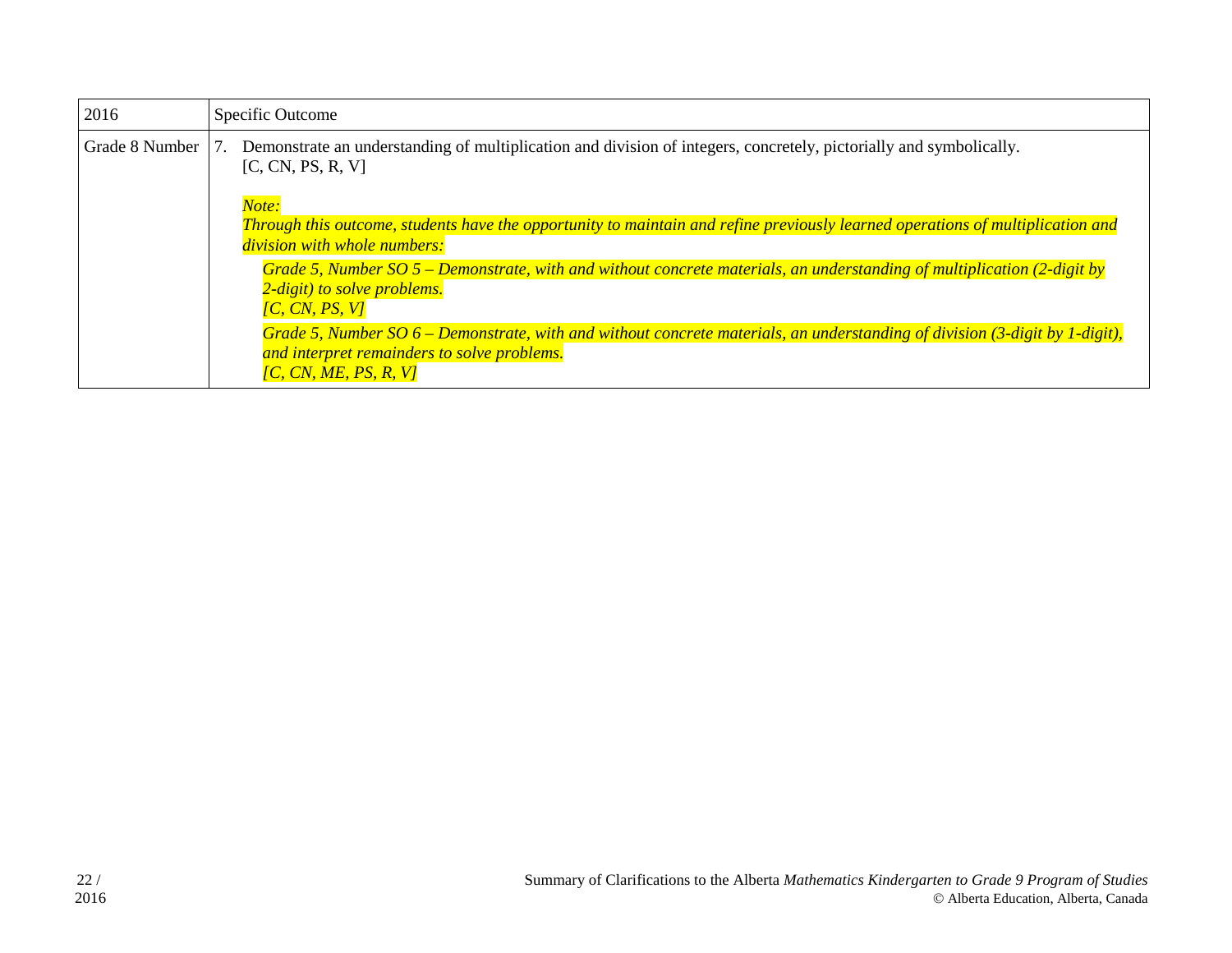| 2016           | Specific Outcome                                                                                                                                                                                                                                                                                                                                                                                                                                                                                                                                                                                             |
|----------------|--------------------------------------------------------------------------------------------------------------------------------------------------------------------------------------------------------------------------------------------------------------------------------------------------------------------------------------------------------------------------------------------------------------------------------------------------------------------------------------------------------------------------------------------------------------------------------------------------------------|
| Grade 8 Number | Demonstrate an understanding of multiplication and division of integers, concretely, pictorially and symbolically.<br>[C, CN, PS, R, V]<br>Note:                                                                                                                                                                                                                                                                                                                                                                                                                                                             |
|                | Through this outcome, students have the opportunity to maintain and refine previously learned operations of multiplication and<br>division with whole numbers:<br>Grade 5, Number SO $5$ – Demonstrate, with and without concrete materials, an understanding of multiplication (2-digit by<br>2-digit) to solve problems.<br>$\overline{IC}$ , $\overline{CN}$ , $\overline{PS}$ , $\overline{VI}$<br>Grade 5, Number SO $6$ – Demonstrate, with and without concrete materials, an understanding of division (3-digit by 1-digit),<br>and interpret remainders to solve problems.<br>[C, CN, ME, PS, R, V] |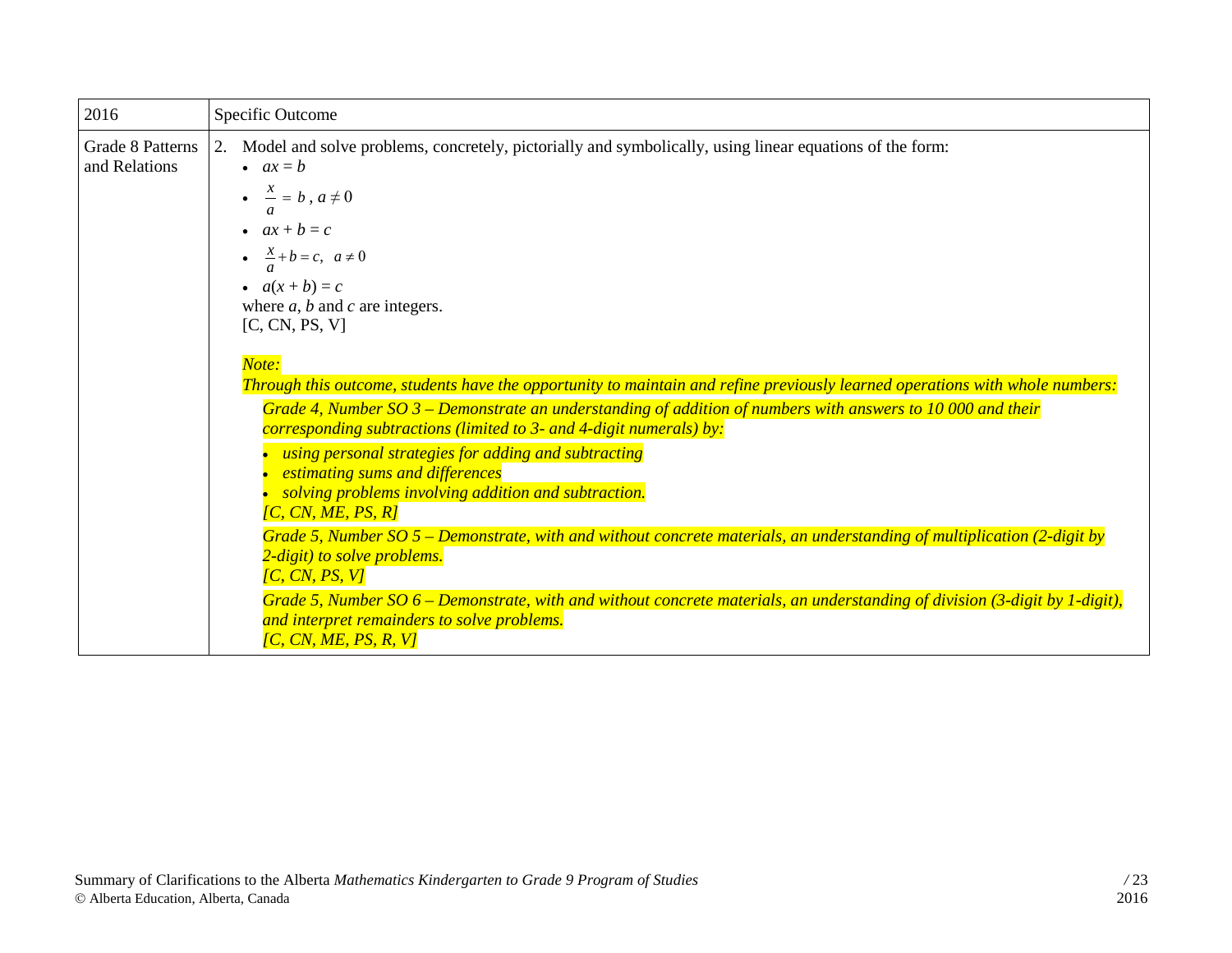| 2016                              | Specific Outcome                                                                                                                                                                                                                                                                                                                                                                                                                                                                                                                                                                                                                                                                                                                                                                                                                                                                                                                                                                                                                                                                                                                                                                                                                                                                                    |
|-----------------------------------|-----------------------------------------------------------------------------------------------------------------------------------------------------------------------------------------------------------------------------------------------------------------------------------------------------------------------------------------------------------------------------------------------------------------------------------------------------------------------------------------------------------------------------------------------------------------------------------------------------------------------------------------------------------------------------------------------------------------------------------------------------------------------------------------------------------------------------------------------------------------------------------------------------------------------------------------------------------------------------------------------------------------------------------------------------------------------------------------------------------------------------------------------------------------------------------------------------------------------------------------------------------------------------------------------------|
| Grade 8 Patterns<br>and Relations | 2. Model and solve problems, concretely, pictorially and symbolically, using linear equations of the form:<br>$\bullet$ $ax = b$<br>$\bullet \quad \frac{x}{-} = b$ , $a \neq 0$<br>$ax + b = c$<br>$\bullet$ $\frac{x}{a} + b = c, \ a \neq 0$<br>• $a(x + b) = c$<br>where $a, b$ and $c$ are integers.<br>[C, CN, PS, V]<br>Note:<br>Through this outcome, students have the opportunity to maintain and refine previously learned operations with whole numbers:<br>Grade 4, Number SO $3$ – Demonstrate an understanding of addition of numbers with answers to 10 000 and their<br>corresponding subtractions (limited to 3- and 4-digit numerals) by:<br>using personal strategies for adding and subtracting<br>• estimating sums and differences<br>solving problems involving addition and subtraction.<br>$\overline{IC}$ , $\overline{CN}$ , $\overline{ME}$ , $\overline{PS}$ , $\overline{RI}$<br>Grade 5, Number SO $5$ – Demonstrate, with and without concrete materials, an understanding of multiplication (2-digit by<br>2-digit) to solve problems.<br>[C, CN, PS, V]<br>Grade 5, Number $SO 6$ – Demonstrate, with and without concrete materials, an understanding of division (3-digit by 1-digit),<br>and interpret remainders to solve problems.<br>[C, CN, ME, PS, R, V] |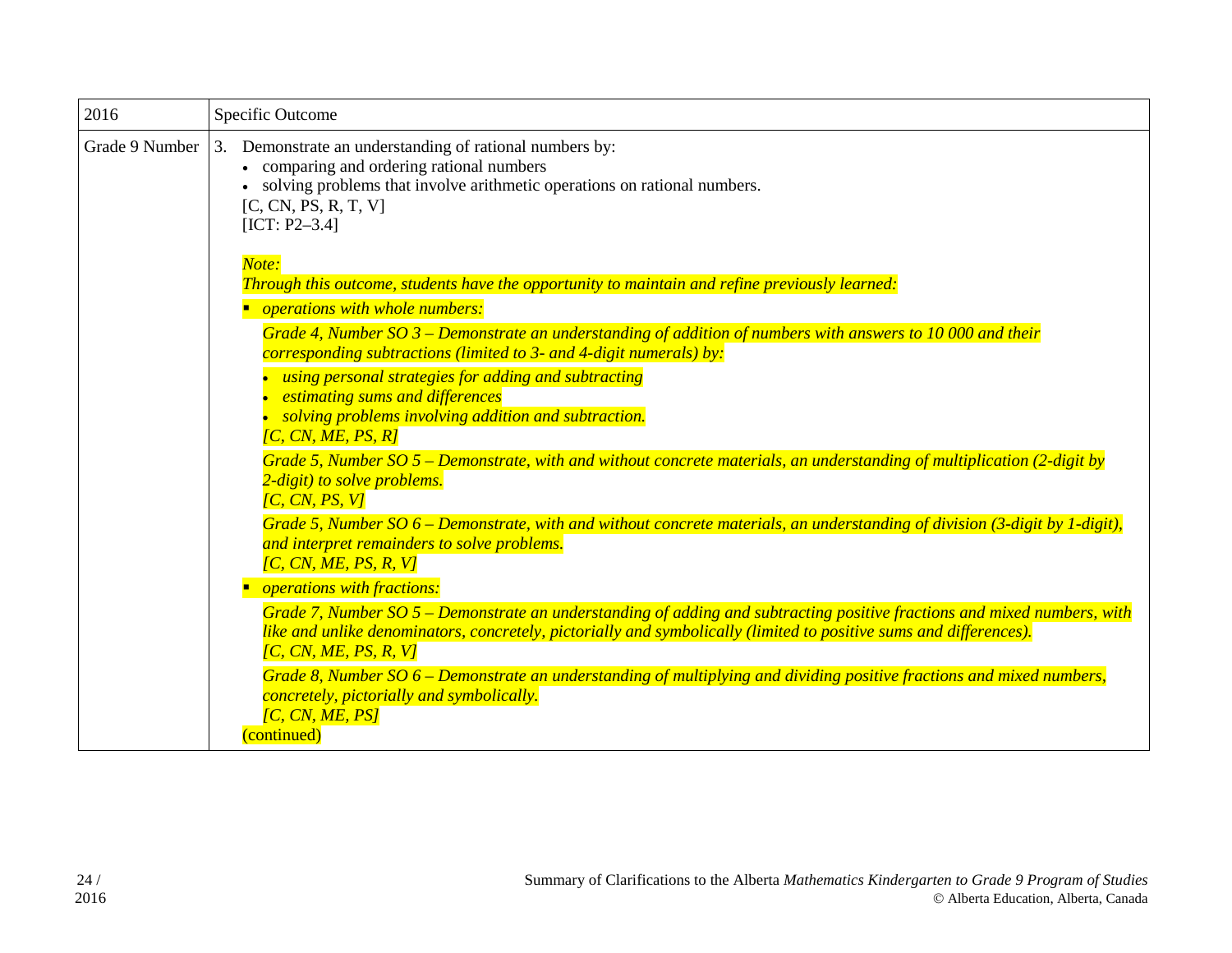| 2016           | Specific Outcome                                                                                                                                                                                                                                                                                                                                                                                                                                                                                                                                                                                                                                                                                                                                                                                                                                                                                                                                                                                                                                                                                                                                                                                                                                                                                                                                                                                                        |
|----------------|-------------------------------------------------------------------------------------------------------------------------------------------------------------------------------------------------------------------------------------------------------------------------------------------------------------------------------------------------------------------------------------------------------------------------------------------------------------------------------------------------------------------------------------------------------------------------------------------------------------------------------------------------------------------------------------------------------------------------------------------------------------------------------------------------------------------------------------------------------------------------------------------------------------------------------------------------------------------------------------------------------------------------------------------------------------------------------------------------------------------------------------------------------------------------------------------------------------------------------------------------------------------------------------------------------------------------------------------------------------------------------------------------------------------------|
| Grade 9 Number | 3. Demonstrate an understanding of rational numbers by:<br>• comparing and ordering rational numbers<br>solving problems that involve arithmetic operations on rational numbers.<br>[C, CN, PS, R, T, V]<br>$[ICT: P2-3.4]$                                                                                                                                                                                                                                                                                                                                                                                                                                                                                                                                                                                                                                                                                                                                                                                                                                                                                                                                                                                                                                                                                                                                                                                             |
|                | Note:<br>Through this outcome, students have the opportunity to maintain and refine previously learned:<br>operations with whole numbers:<br>Grade 4, Number SO $3$ – Demonstrate an understanding of addition of numbers with answers to 10 000 and their<br>corresponding subtractions (limited to 3- and 4-digit numerals) by:<br>using personal strategies for adding and subtracting<br><i>estimating sums and differences</i><br>solving problems involving addition and subtraction.<br>[C, CN, ME, PS, R]<br>Grade 5, Number SO $5$ – Demonstrate, with and without concrete materials, an understanding of multiplication (2-digit by<br>2-digit) to solve problems.<br>[C, CN, PS, V]<br>Grade 5, Number SO 6 – Demonstrate, with and without concrete materials, an understanding of division (3-digit by 1-digit),<br>and interpret remainders to solve problems.<br>[C, CN, ME, PS, R, V]<br>operations with fractions:<br>Grade 7, Number SO 5 – Demonstrate an understanding of adding and subtracting positive fractions and mixed numbers, with<br>like and unlike denominators, concretely, pictorially and symbolically (limited to positive sums and differences).<br>[C, CN, ME, PS, R, V]<br>Grade 8, Number SO 6 – Demonstrate an understanding of multiplying and dividing positive fractions and mixed numbers,<br>concretely, pictorially and symbolically.<br>[C, CN, ME, PS]<br>(continued) |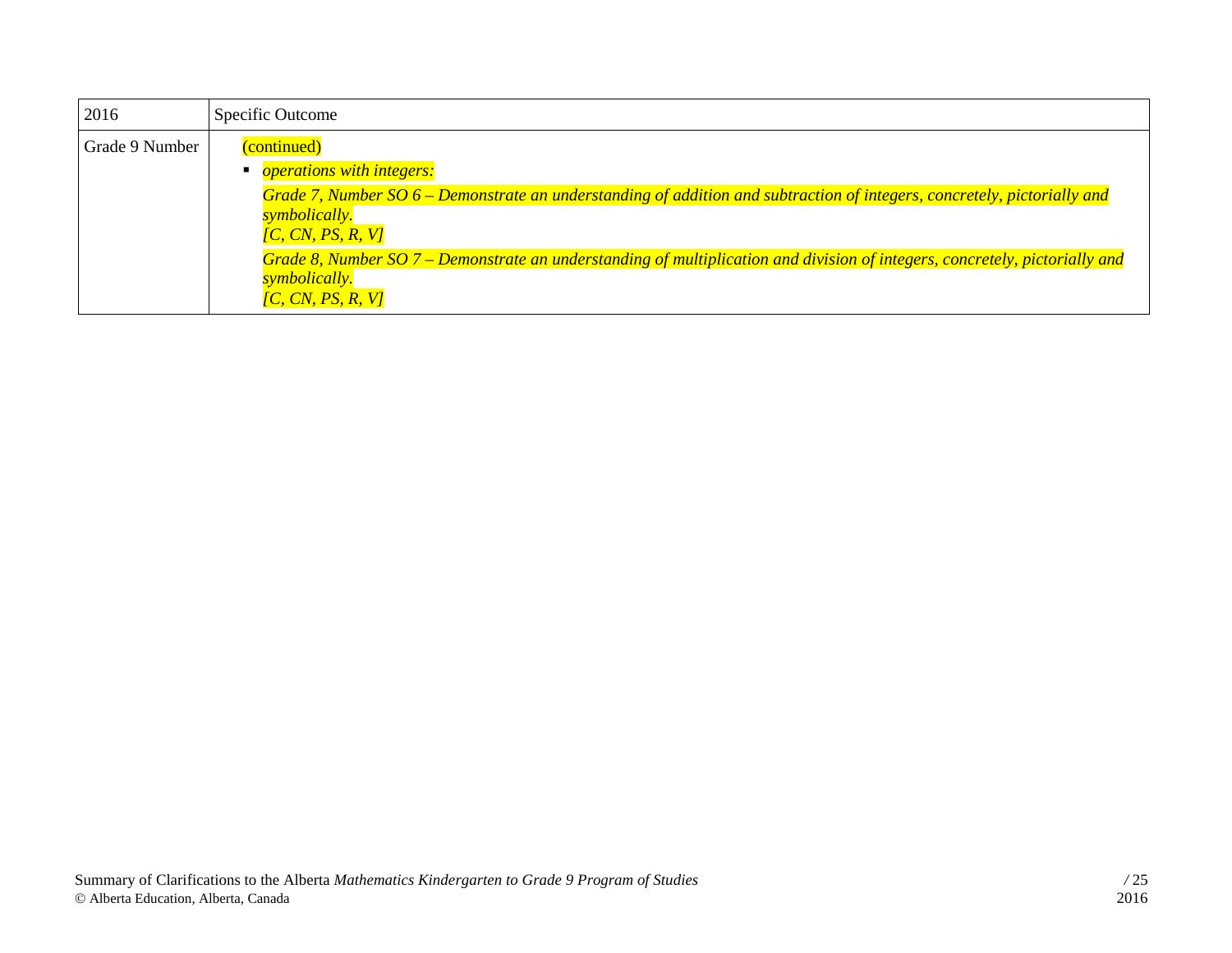| 2016           | Specific Outcome                                                                                                                                                                                                         |
|----------------|--------------------------------------------------------------------------------------------------------------------------------------------------------------------------------------------------------------------------|
| Grade 9 Number | (continued)<br><i><b>operations with integers:</b></i><br>Grade 7, Number SO 6 – Demonstrate an understanding of addition and subtraction of integers, concretely, pictorially and<br>symbolically.<br>[C, CN, PS, R, V] |
|                | Grade 8, Number SO 7 – Demonstrate an understanding of multiplication and division of integers, concretely, pictorially and<br>symbolically.<br>[C, CN, PS, R, V]                                                        |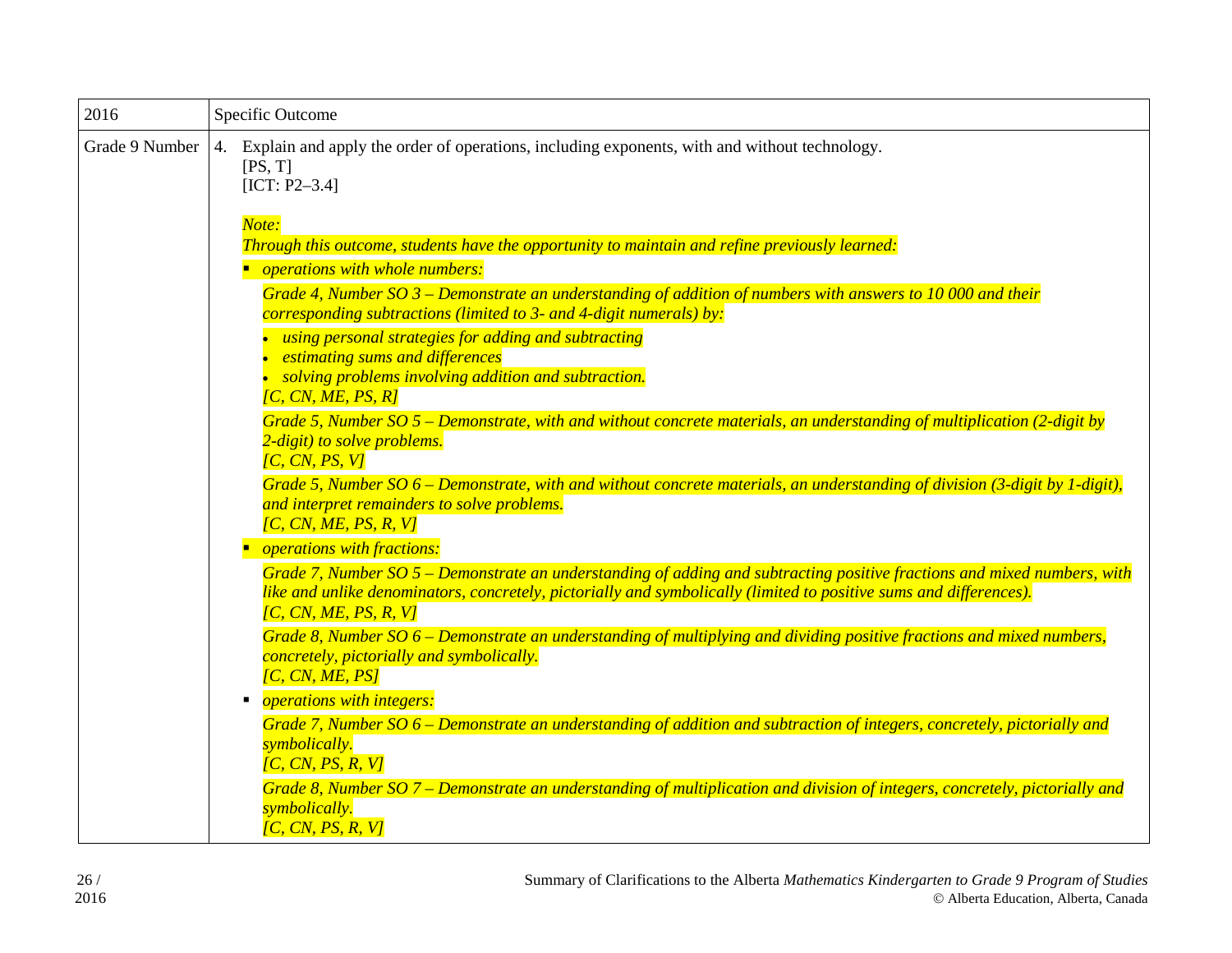| 2016           | Specific Outcome                                                                                                                                                                                                                                                                                                                                                                                                                                                                                                           |
|----------------|----------------------------------------------------------------------------------------------------------------------------------------------------------------------------------------------------------------------------------------------------------------------------------------------------------------------------------------------------------------------------------------------------------------------------------------------------------------------------------------------------------------------------|
| Grade 9 Number | 4. Explain and apply the order of operations, including exponents, with and without technology.<br>[PS, T]<br>$[ICT: P2-3.4]$<br>Note:<br>Through this outcome, students have the opportunity to maintain and refine previously learned:<br>operations with whole numbers:<br>Grade 4, Number SO $3$ – Demonstrate an understanding of addition of numbers with answers to 10 000 and their<br>corresponding subtractions (limited to 3- and 4-digit numerals) by:<br>using personal strategies for adding and subtracting |
|                | estimating sums and differences<br>solving problems involving addition and subtraction.<br>[C, CN, ME, PS, R]<br>Grade 5, Number SO $5$ – Demonstrate, with and without concrete materials, an understanding of multiplication (2-digit by<br>2-digit) to solve problems.                                                                                                                                                                                                                                                  |
|                | [C, CN, PS, V]<br>Grade 5, Number $SO 6$ – Demonstrate, with and without concrete materials, an understanding of division (3-digit by 1-digit),<br>and interpret remainders to solve problems.<br>[C, CN, ME, PS, R, V]                                                                                                                                                                                                                                                                                                    |
|                | <i><b>operations with fractions:</b></i><br>Grade 7, Number SO 5 – Demonstrate an understanding of adding and subtracting positive fractions and mixed numbers, with<br>like and unlike denominators, concretely, pictorially and symbolically (limited to positive sums and differences).<br>[C, CN, ME, PS, R, V]<br>Grade 8, Number $SO 6$ – Demonstrate an understanding of multiplying and dividing positive fractions and mixed numbers,<br>concretely, pictorially and symbolically.<br>[C, CN, ME, PS]             |
|                | <i><b>operations with integers:</b></i><br>Grade 7, Number SO 6 – Demonstrate an understanding of addition and subtraction of integers, concretely, pictorially and<br>symbolically.<br>[C, CN, PS, R, V]<br>Grade 8, Number SO 7 – Demonstrate an understanding of multiplication and division of integers, concretely, pictorially and<br>symbolically.<br>[C, CN, PS, R, V]                                                                                                                                             |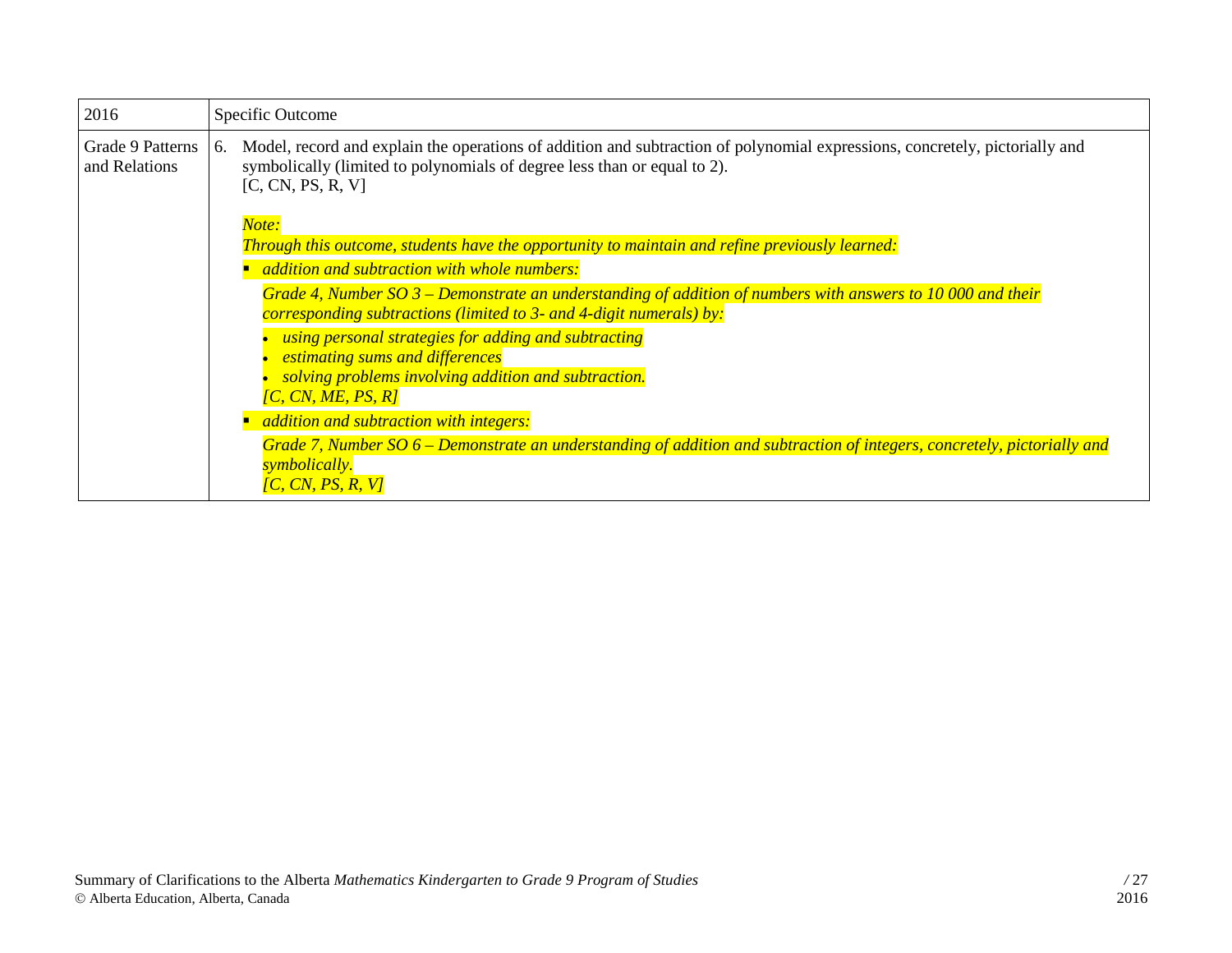| 2016                              | Specific Outcome                                                                                                                                                                                                                                                                                                                                                                                        |
|-----------------------------------|---------------------------------------------------------------------------------------------------------------------------------------------------------------------------------------------------------------------------------------------------------------------------------------------------------------------------------------------------------------------------------------------------------|
| Grade 9 Patterns<br>and Relations | Model, record and explain the operations of addition and subtraction of polynomial expressions, concretely, pictorially and<br>6.<br>symbolically (limited to polynomials of degree less than or equal to 2).<br>[C, CN, PS, R, V]                                                                                                                                                                      |
|                                   | Note:<br>Through this outcome, students have the opportunity to maintain and refine previously learned:<br>addition and subtraction with whole numbers:<br>Grade 4, Number SO $3$ – Demonstrate an understanding of addition of numbers with answers to 10 000 and their<br>corresponding subtractions (limited to 3- and 4-digit numerals) by:<br>using personal strategies for adding and subtracting |
|                                   | <i>estimating sums and differences</i><br>solving problems involving addition and subtraction.<br>$\overline{IC}$ , CN, ME, PS, R]<br>addition and subtraction with integers:<br>Grade 7, Number SO 6 – Demonstrate an understanding of addition and subtraction of integers, concretely, pictorially and<br>symbolically.<br>[C, CN, PS, R, V]                                                         |